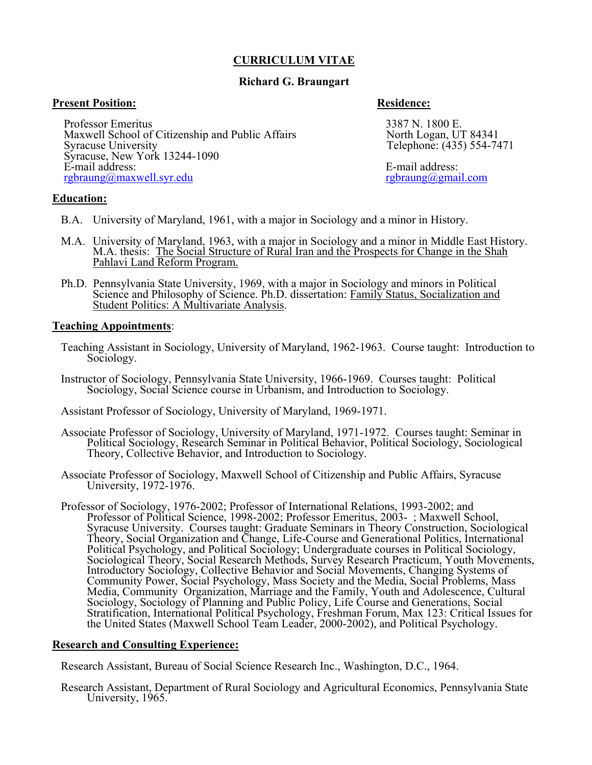# **CURRICULUM VITAE**

# **Richard G. Braungart**

# **Present Position: Residence:**

Maxwell School of Citizenship and Public Affairs<br>Syracuse University

Syracuse, New York 13244-1090

 $rgbraung@maxwell.syr.edu$ 

Professor Emeritus<br>
Maxwell School of Citizenship and Public Affairs North Logan, UT 84341 Telephone: (435) 554-7471

E-mail address:<br>
<u>E-mail address:</u><br>
<u>E-mail address:</u><br>
<u>E-mail address:</u><br>
<u>E-mail address:</u><br>
<u>E-mail address:</u>

# **Education:**

- B.A. University of Maryland, 1961, with a major in Sociology and a minor in History.
- M.A. University of Maryland, 1963, with a major in Sociology and a minor in Middle East History. M.A. thesis: The Social Structure of Rural Iran and the Prospects for Change in the Shah Pahlavi Land Reform Program.
	- Ph.D. Pennsylvania State University, 1969, with a major in Sociology and minors in Political Science and Philosophy of Science. Ph.D. dissertation: Family Status, Socialization and Student Politics: A Multivariate Analysis.

## **Teaching Appointments**:

- Teaching Assistant in Sociology, University of Maryland, 1962-1963. Course taught: Introduction to Sociology.
- Instructor of Sociology, Pennsylvania State University, 1966-1969. Courses taught: Political Sociology, Social Science course in Urbanism, and Introduction to Sociology.

Assistant Professor of Sociology, University of Maryland, 1969-1971.

- Associate Professor of Sociology, University of Maryland, 1971-1972. Courses taught: Seminar in Political Sociology, Research Seminar in Political Behavior, Political Sociology, Sociological Theory, Collective Behavior, and Introduction to Sociology.
- Associate Professor of Sociology, Maxwell School of Citizenship and Public Affairs, Syracuse University, 1972-1976.
- Professor of Sociology, 1976-2002; Professor of International Relations, 1993-2002; and Professor of Political Science, 1998-2002; Professor Emeritus, 2003- ; Maxwell School, Syracuse University. Courses taught: Graduate Seminars in Theory Construction, Sociological Theory, Social Organization and Change, Life-Course and Generational Politics, International Political Psychology, and Political Sociology; Undergraduate courses in Political Sociology, Sociological Theory, Social Research Methods, Survey Research Practicum, Youth Movements, Introductory Sociology, Collective Behavior and Social Movements, Changing Systems of Community Power, Social Psychology, Mass Society and the Media, Social Problems, Mass Media, Community Organization, Marriage and the Family, Youth and Adolescence, Cultural Sociology, Sociology of Planning and Public Policy, Life Course and Generations, Social Stratification, International Political Psychology, Freshman Forum, Max 123: Critical Issues for the United States (Maxwell School Team Leader, 2000-2002), and Political Psychology.

## **Research and Consulting Experience:**

Research Assistant, Bureau of Social Science Research Inc., Washington, D.C., 1964.

 Research Assistant, Department of Rural Sociology and Agricultural Economics, Pennsylvania State University, 1965.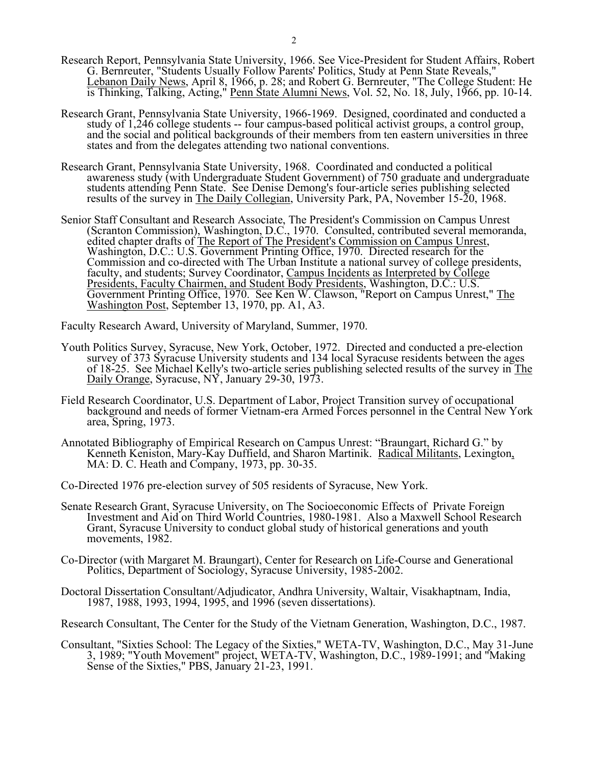- Research Report, Pennsylvania State University, 1966. See Vice-President for Student Affairs, Robert G. Bernreuter, "Students Usually Follow Parents' Politics, Study at Penn State Reveals," Lebanon Daily News, April 8, 1966, p. 28; and Robert G. Bernreuter, "The College Student: He is Thinking, Talking, Acting," Penn State Alumni News, Vol. 52, No. 18, July, 1966, pp. 10-14.
	- Research Grant, Pennsylvania State University, 1966-1969. Designed, coordinated and conducted a study of 1,246 college students -- four campus-based political activist groups, a control group, and the social and political backgrounds of their members from ten eastern universities in three states and from the delegates attending two national conventions.
	- Research Grant, Pennsylvania State University, 1968. Coordinated and conducted a political awareness study (with Undergraduate Student Government) of 750 graduate and undergraduate students attending Penn State. See Denise Demong's four-article series publishing selected results of the survey in The Daily Collegian, University Park, PA, November 15-20, 1968.
- Senior Staff Consultant and Research Associate, The President's Commission on Campus Unrest (Scranton Commission), Washington, D.C., 1970. Consulted, contributed several memoranda, edited chapter drafts of The Report of The President's Commission on Campus Unrest, Washington, D.C.: U.S. Government Printing Office, 1970. Directed research for the Commission and co-directed with The Urban Institute a national survey of college presidents, faculty, and students; Survey Coordinator, Campus Incidents as Interpreted by College Presidents, Faculty Chairmen, and Student Body Presidents, Washington, D.C.: U.S. Government Printing Office, 1970. See Ken W. Clawson, "Report on Campus Unrest," The Washington Post, September 13, 1970, pp. A1, A3.

Faculty Research Award, University of Maryland, Summer, 1970.

- Youth Politics Survey, Syracuse, New York, October, 1972. Directed and conducted a pre-election survey of 373 Syracuse University students and 134 local Syracuse residents between the ages of 18-25. See Michael Kelly's two-article series publishing selected results of the survey in The Daily Orange, Syracuse, NY, January 29-30, 1973.
- Field Research Coordinator, U.S. Department of Labor, Project Transition survey of occupational background and needs of former Vietnam-era Armed Forces personnel in the Central New York area, Spring, 1973.
- Annotated Bibliography of Empirical Research on Campus Unrest: "Braungart, Richard G." by Kenneth Keniston, Mary-Kay Duffield, and Sharon Martinik. Radical Militants, Lexington, MA: D. C. Heath and Company, 1973, pp. 30-35.
	- Co-Directed 1976 pre-election survey of 505 residents of Syracuse, New York.
	- Senate Research Grant, Syracuse University, on The Socioeconomic Effects of Private Foreign Investment and Aid on Third World Countries, 1980-1981. Also a Maxwell School Research Grant, Syracuse University to conduct global study of historical generations and youth movements, 1982.
	- Co-Director (with Margaret M. Braungart), Center for Research on Life-Course and Generational Politics, Department of Sociology, Syracuse University, 1985-2002.
	- Doctoral Dissertation Consultant/Adjudicator, Andhra University, Waltair, Visakhaptnam, India, 1987, 1988, 1993, 1994, 1995, and 1996 (seven dissertations).
	- Research Consultant, The Center for the Study of the Vietnam Generation, Washington, D.C., 1987.
	- Consultant, "Sixties School: The Legacy of the Sixties," WETA-TV, Washington, D.C., May 31-June 3, 1989; "Youth Movement" project, WETA-TV, Washington, D.C., 1989-1991; and "Making Sense of the Sixties," PBS, January 21-23, 1991.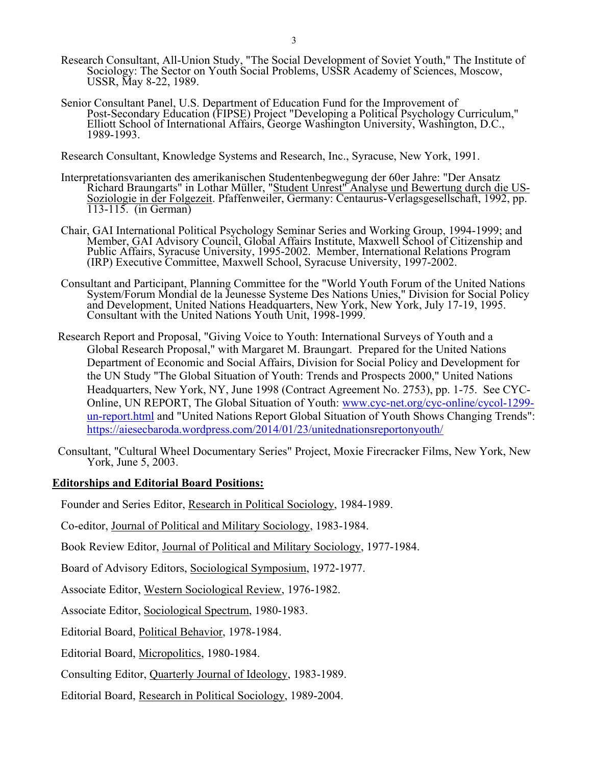- Research Consultant, All-Union Study, "The Social Development of Soviet Youth," The Institute of Sociology: The Sector on Youth Social Problems, USSR Academy of Sciences, Moscow, USSR, May 8-22, 1989.
	- Senior Consultant Panel, U.S. Department of Education Fund for the Improvement of Post-Secondary Education (FIPSE) Project "Developing a Political Psychology Curriculum," Elliott School of International Affairs, George Washington University, Washington, D.C., 1989-1993.

Research Consultant, Knowledge Systems and Research, Inc., Syracuse, New York, 1991.

- Interpretationsvarianten des amerikanischen Studentenbegwegung der 60er Jahre: "Der Ansatz Richard Braungarts" in Lothar Müller, "Student Unrest" Analyse und Bewertung durch die US-Soziologie in der Folgezeit. Pfaffenweiler, Germany: Centaurus-Verlagsgesellschaft, 1992, pp. 113-115. (in German)
	- Chair, GAI International Political Psychology Seminar Series and Working Group, 1994-1999; and Member, GAI Advisory Council, Global Affairs Institute, Maxwell School of Citizenship and Public Affairs, Syracuse University, 1995-2002. Member, International Relations Program (IRP) Executive Committee, Maxwell School, Syracuse University, 1997-2002.
	- Consultant and Participant, Planning Committee for the "World Youth Forum of the United Nations System/Forum Mondial de la Jeunesse Systeme Des Nations Unies," Division for Social Policy and Development, United Nations Headquarters, New York, New York, July 17-19, 1995. Consultant with the United Nations Youth Unit, 1998-1999.
- Research Report and Proposal, "Giving Voice to Youth: International Surveys of Youth and a Global Research Proposal," with Margaret M. Braungart. Prepared for the United Nations Department of Economic and Social Affairs, Division for Social Policy and Development for the UN Study "The Global Situation of Youth: Trends and Prospects 2000," United Nations Headquarters, New York, NY, June 1998 (Contract Agreement No. 2753), pp. 1-75. See CYC-Online, UN REPORT, The Global Situation of Youth: [www.cyc-net.org/cyc-online/cycol-1299](http://www.cyc-net.org/cyc-online/cycol-1299-un-report.html) [un-report.html](http://www.cyc-net.org/cyc-online/cycol-1299-un-report.html) and "United Nations Report Global Situation of Youth Shows Changing Trends": <https://aiesecbaroda.wordpress.com/2014/01/23/unitednationsreportonyouth/>
- Consultant, "Cultural Wheel Documentary Series" Project, Moxie Firecracker Films, New York, New York, June 5, 2003.

# **Editorships and Editorial Board Positions:**

Founder and Series Editor, Research in Political Sociology, 1984-1989.

Co-editor, Journal of Political and Military Sociology, 1983-1984.

Book Review Editor, Journal of Political and Military Sociology, 1977-1984.

Board of Advisory Editors, Sociological Symposium, 1972-1977.

Associate Editor, Western Sociological Review, 1976-1982.

Associate Editor, Sociological Spectrum, 1980-1983.

Editorial Board, Political Behavior, 1978-1984.

Editorial Board, Micropolitics, 1980-1984.

Consulting Editor, Quarterly Journal of Ideology, 1983-1989.

Editorial Board, Research in Political Sociology, 1989-2004.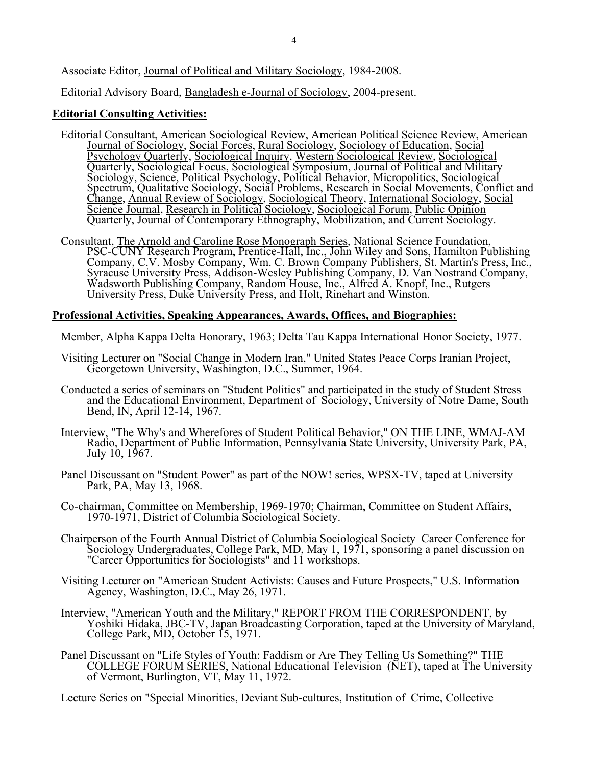Associate Editor, Journal of Political and Military Sociology, 1984-2008.

Editorial Advisory Board, Bangladesh e-Journal of Sociology, 2004-present.

# **Editorial Consulting Activities:**

- Editorial Consultant, American Sociological Review, American Political Science Review, American Journal of Sociology, Social Forces, Rural Sociology, Sociology of Education, Social Psychology Quarterly, Sociological Inquiry, Western Sociological Review, Sociological Quarterly, Sociological Focus, Sociological Symposium, Journal of Political and Military Sociology, Science, Political Psychology, Political Behavior, Micropolitics, Sociological Spectrum, Qualitative Sociology, Social Problems, Research in Social Movements, Conflict and Change, Annual Review of Sociology, Sociological Theory, International Sociology, Social Science Journal, Research in Political Sociology, Sociological Forum, Public Opinion Quarterly, Journal of Contemporary Ethnography, Mobilization, and Current Sociology.
- Consultant, The Arnold and Caroline Rose Monograph Series, National Science Foundation, PSC-CUNY Research Program, Prentice-Hall, Inc., John Wiley and Sons, Hamilton Publishing Company, C.V. Mosby Company, Wm. C. Brown Company Publishers, St. Martin's Press, Inc., Syracuse University Press, Addison-Wesley Publishing Company, D. Van Nostrand Company, Wadsworth Publishing Company, Random House, Inc., Alfred A. Knopf, Inc., Rutgers University Press, Duke University Press, and Holt, Rinehart and Winston.

## **Professional Activities, Speaking Appearances, Awards, Offices, and Biographies:**

Member, Alpha Kappa Delta Honorary, 1963; Delta Tau Kappa International Honor Society, 1977.

- Visiting Lecturer on "Social Change in Modern Iran," United States Peace Corps Iranian Project, Georgetown University, Washington, D.C., Summer, 1964.
- Conducted a series of seminars on "Student Politics" and participated in the study of Student Stress and the Educational Environment, Department of Sociology, University of Notre Dame, South Bend, IN, April 12-14, 1967.
- Interview, "The Why's and Wherefores of Student Political Behavior," ON THE LINE, WMAJ-AM Radio, Department of Public Information, Pennsylvania State University, University Park, PA, July 10, 1967.
- Panel Discussant on "Student Power" as part of the NOW! series, WPSX-TV, taped at University Park, PA, May 13, 1968.
- Co-chairman, Committee on Membership, 1969-1970; Chairman, Committee on Student Affairs, 1970-1971, District of Columbia Sociological Society.
- Chairperson of the Fourth Annual District of Columbia Sociological Society Career Conference for Sociology Undergraduates, College Park, MD, May 1, 1971, sponsoring a panel discussion on "Career Opportunities for Sociologists" and 11 workshops.
- Visiting Lecturer on "American Student Activists: Causes and Future Prospects," U.S. Information Agency, Washington, D.C., May 26, 1971.
- Interview, "American Youth and the Military," REPORT FROM THE CORRESPONDENT, by Yoshiki Hidaka, JBC-TV, Japan Broadcasting Corporation, taped at the University of Maryland, College Park, MD, October 15, 1971.
- Panel Discussant on "Life Styles of Youth: Faddism or Are They Telling Us Something?" THE COLLEGE FORUM SERIES, National Educational Television (NET), taped at The University of Vermont, Burlington, VT, May 11, 1972.

Lecture Series on "Special Minorities, Deviant Sub-cultures, Institution of Crime, Collective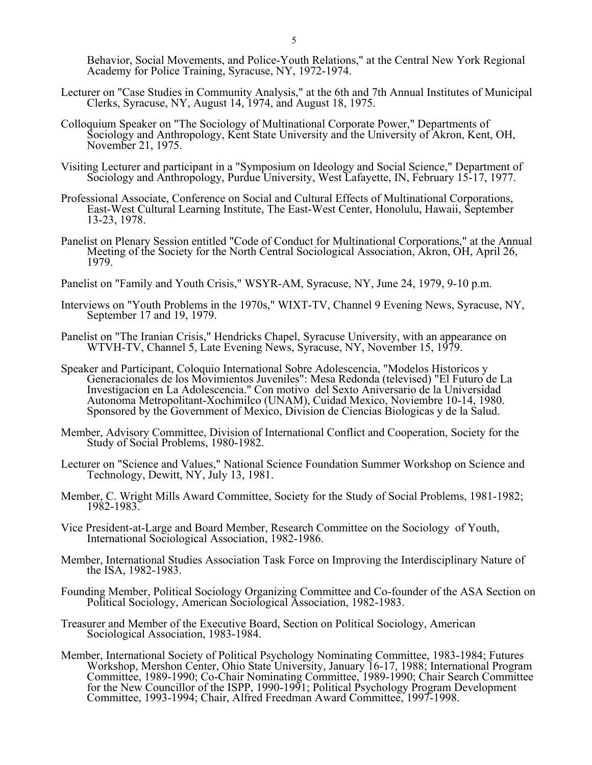Behavior, Social Movements, and Police-Youth Relations," at the Central New York Regional Academy for Police Training, Syracuse, NY, 1972-1974.

- Lecturer on "Case Studies in Community Analysis," at the 6th and 7th Annual Institutes of Municipal Clerks, Syracuse, NY, August 14, 1974, and August 18, 1975.
- Colloquium Speaker on "The Sociology of Multinational Corporate Power," Departments of Sociology and Anthropology, Kent State University and the University of Akron, Kent, OH, November 21, 1975.
- Visiting Lecturer and participant in a "Symposium on Ideology and Social Science," Department of Sociology and Anthropology, Purdue University, West Lafayette, IN, February 15-17, 1977.
- Professional Associate, Conference on Social and Cultural Effects of Multinational Corporations, East-West Cultural Learning Institute, The East-West Center, Honolulu, Hawaii, September 13-23, 1978.
- Panelist on Plenary Session entitled "Code of Conduct for Multinational Corporations," at the Annual Meeting of the Society for the North Central Sociological Association, Akron, OH, April 26, 1979.
- Panelist on "Family and Youth Crisis," WSYR-AM, Syracuse, NY, June 24, 1979, 9-10 p.m.
- Interviews on "Youth Problems in the 1970s," WIXT-TV, Channel 9 Evening News, Syracuse, NY, September 17 and 19, 1979.
- Panelist on "The Iranian Crisis," Hendricks Chapel, Syracuse University, with an appearance on WTVH-TV, Channel 5, Late Evening News, Syracuse, NY, November 15, 1979.
- Speaker and Participant, Coloquio International Sobre Adolescencia, "Modelos Historicos y Generacionales de los Movimientos Juveniles": Mesa Redonda (televised) "El Futuro de La Investigacion en La Adolescencia." Con motivo del Sexto Aniversario de la Universidad Autonoma Metropolitant-Xochimilco (UNAM), Cuidad Mexico, Noviembre 10-14, 1980. Sponsored by the Government of Mexico, Division de Ciencias Biologicas y de la Salud.
- Member, Advisory Committee, Division of International Conflict and Cooperation, Society for the Study of Social Problems, 1980-1982.
- Lecturer on "Science and Values," National Science Foundation Summer Workshop on Science and Technology, Dewitt, NY, July 13, 1981.
- Member, C. Wright Mills Award Committee, Society for the Study of Social Problems, 1981-1982; 1982-1983.
- Vice President-at-Large and Board Member, Research Committee on the Sociology of Youth, International Sociological Association, 1982-1986.
- Member, International Studies Association Task Force on Improving the Interdisciplinary Nature of the ISA, 1982-1983.
- Founding Member, Political Sociology Organizing Committee and Co-founder of the ASA Section on Political Sociology, American Sociological Association, 1982-1983.
- Treasurer and Member of the Executive Board, Section on Political Sociology, American Sociological Association, 1983-1984.
- Member, International Society of Political Psychology Nominating Committee, 1983-1984; Futures Workshop, Mershon Center, Ohio State University, January 16-17, 1988; International Program Committee, 1989-1990; Co-Chair Nominating Committee, 1989-1990; Chair Search Committee for the New Councillor of the ISPP, 1990-1991; Political Psychology Program Development Committee, 1993-1994; Chair, Alfred Freedman Award Committee, 1997-1998.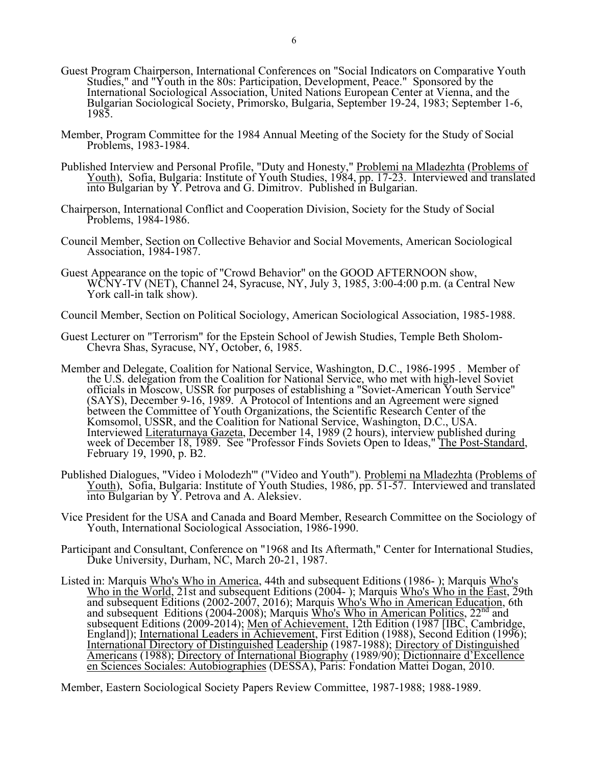- Guest Program Chairperson, International Conferences on "Social Indicators on Comparative Youth Studies," and "Youth in the 80s: Participation, Development, Peace." Sponsored by the International Sociological Association, United Nations European Center at Vienna, and the Bulgarian Sociological Society, Primorsko, Bulgaria, September 19-24, 1983; September 1-6, 1985.
- Member, Program Committee for the 1984 Annual Meeting of the Society for the Study of Social Problems, 1983-1984.
- Published Interview and Personal Profile, "Duty and Honesty," Problemi na Mladezhta (Problems of Youth), Sofia, Bulgaria: Institute of Youth Studies, 1984, pp. 17-23. Interviewed and translated into Bulgarian by Y. Petrova and G. Dimitrov. Published in Bulgarian.
	- Chairperson, International Conflict and Cooperation Division, Society for the Study of Social Problems, 1984-1986.
	- Council Member, Section on Collective Behavior and Social Movements, American Sociological Association, 1984-1987.
	- Guest Appearance on the topic of "Crowd Behavior" on the GOOD AFTERNOON show, WCNY-TV (NET), Channel 24, Syracuse, NY, July 3, 1985, 3:00-4:00 p.m. (a Central New York call-in talk show).
	- Council Member, Section on Political Sociology, American Sociological Association, 1985-1988.
	- Guest Lecturer on "Terrorism" for the Epstein School of Jewish Studies, Temple Beth Sholom-Chevra Shas, Syracuse, NY, October, 6, 1985.
	- Member and Delegate, Coalition for National Service, Washington, D.C., 1986-1995 . Member of the U.S. delegation from the Coalition for National Service, who met with high-level Soviet officials in Moscow, USSR for purposes of establishing a "Soviet-American Youth Service" (SAYS), December 9-16, 1989. A Protocol of Intentions and an Agreement were signed between the Committee of Youth Organizations, the Scientific Research Center of the Komsomol, USSR, and the Coalition for National Service, Washington, D.C., USA. Interviewed Literaturnaya Gazeta, December 14, 1989 (2 hours), interview published during week of December 18, 1989. See "Professor Finds Soviets Open to Ideas," The Post-Standard, February 19, 1990, p. B2.
	- Published Dialogues, "Video i Molodezh"" ("Video and Youth"). Problemi na Mladezhta (Problems of Youth), Sofia, Bulgaria: Institute of Youth Studies, 1986, pp. 51-57. Interviewed and translated into Bulgarian by Y. Petrova and A. Aleksiev.
	- Vice President for the USA and Canada and Board Member, Research Committee on the Sociology of Youth, International Sociological Association, 1986-1990.
	- Participant and Consultant, Conference on "1968 and Its Aftermath," Center for International Studies, Duke University, Durham, NC, March 20-21, 1987.
	- Listed in: Marquis Who's Who in America, 44th and subsequent Editions (1986- ); Marquis Who's Who in the World, 21st and subsequent Editions (2004-); Marquis Who's Who in the East, 29th and subsequent Editions (2002-2007, 2016); Marquis Who's Who in American Education, 6th and subsequent Editions (2004-2008); Marquis Who's Who in American Politics, 22<sup>nd</sup> and subsequent Editions (2009-2014); Men of Achievement, 12th Edition (1987 [IBC, Cambridge, England]); International Leaders in Achievement, First Edition (1988), Second Edition (1996); International Directory of Distinguished Leadership (1987-1988); Directory of Distinguished Americans (1988); Directory of International Biography (1989/90); Dictionnaire d'Excellence en Sciences Sociales: Autobiographies (DESSA), Paris: Fondation Mattei Dogan, 2010.

Member, Eastern Sociological Society Papers Review Committee, 1987-1988; 1988-1989.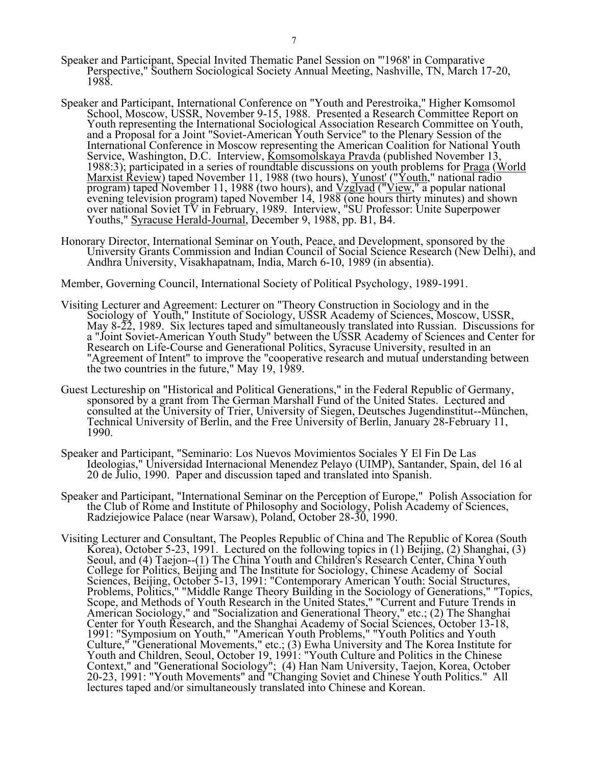- Speaker and Participant, Special Invited Thematic Panel Session on "'1968' in Comparative Perspective," Southern Sociological Society Annual Meeting, Nashville, TN, March 17-20, 1988.
- Speaker and Participant, International Conference on "Youth and Perestroika," Higher Komsomol School, Moscow, USSR, November 9-15, 1988. Presented a Research Committee Report on Youth representing the International Sociological Association Research Committee on Youth, and a Proposal for a Joint "Soviet-American Youth Service" to the Plenary Session of the International Conference in Moscow representing the American Coalition for National Youth Service, Washington, D.C. Interview, Komsomolskaya Pravda (published November 13, 1988:3); participated in a series of roundtable discussions on youth problems for Praga (World Marxist Review) taped November 11, 1988 (two hours), Yunost' ("Youth," national radio program) taped November 11, 1988 (two hours), and Vzglyad ("View," a popular national evening television program) taped November 14, 1988 (one hours thirty minutes) and shown over national Soviet TV in February, 1989. Interview, "SU Professor: Unite Superpower Youths," Syracuse Herald-Journal, December 9, 1988, pp. B1, B4.
	- Honorary Director, International Seminar on Youth, Peace, and Development, sponsored by the University Grants Commission and Indian Council of Social Science Research (New Delhi), and Andhra University, Visakhapatnam, India, March 6-10, 1989 (in absentia).

Member, Governing Council, International Society of Political Psychology, 1989-1991.

- Visiting Lecturer and Agreement: Lecturer on "Theory Construction in Sociology and in the Sociology of Youth," Institute of Sociology, USSR Academy of Sciences, Moscow, USSR, May 8-22, 1989. Six lectures taped and simultaneously translated into Russian. Discussions for a "Joint Soviet-American Youth Study" between the USSR Academy of Sciences and Center for Research on Life-Course and Generational Politics, Syracuse University, resulted in an "Agreement of Intent" to improve the "cooperative research and mutual understanding between the two countries in the future," May 19, 1989.
- Guest Lectureship on "Historical and Political Generations," in the Federal Republic of Germany, sponsored by a grant from The German Marshall Fund of the United States. Lectured and consulted at the University of Trier, University of Siegen, Deutsches Jugendinstitut--München, Technical University of Berlin, and the Free University of Berlin, January 28-February 11, 1990.
- Speaker and Participant, "Seminario: Los Nuevos Movimientos Sociales Y El Fin De Las Ideologias," Universidad Internacional Menendez Pelayo (UIMP), Santander, Spain, del 16 al 20 de Julio, 1990. Paper and discussion taped and translated into Spanish.
- Speaker and Participant, "International Seminar on the Perception of Europe," Polish Association for the Club of Rome and Institute of Philosophy and Sociology, Polish Academy of Sciences, Radziejowice Palace (near Warsaw), Poland, October 28-30, 1990.
- Visiting Lecturer and Consultant, The Peoples Republic of China and The Republic of Korea (South Korea), October 5-23, 1991. Lectured on the following topics in (1) Beijing, (2) Shanghai, (3) Seoul, and (4) Taejon--(1) The China Youth and Children's Research Center, China Youth College for Politics, Beijing and The Institute for Sociology, Chinese Academy of Social Sciences, Beijing, October 5-13, 1991: "Contemporary American Youth: Social Structures, Problems, Politics," "Middle Range Theory Building in the Sociology of Generations," "Topics, Scope, and Methods of Youth Research in the United States," "Current and Future Trends in American Sociology," and "Socialization and Generational Theory," etc.; (2) The Shanghai Center for Youth Research, and the Shanghai Academy of Social Sciences, October 13-18, 1991: "Symposium on Youth," "American Youth Problems," "Youth Politics and Youth Culture," "Generational Movements," etc.; (3) Ewha University and The Korea Institute for Youth and Children, Seoul, October 19, 1991: "Youth Culture and Politics in the Chinese Context," and "Generational Sociology"; (4) Han Nam University, Taejon, Korea, October 20-23, 1991: "Youth Movements" and "Changing Soviet and Chinese Youth Politics." All lectures taped and/or simultaneously translated into Chinese and Korean.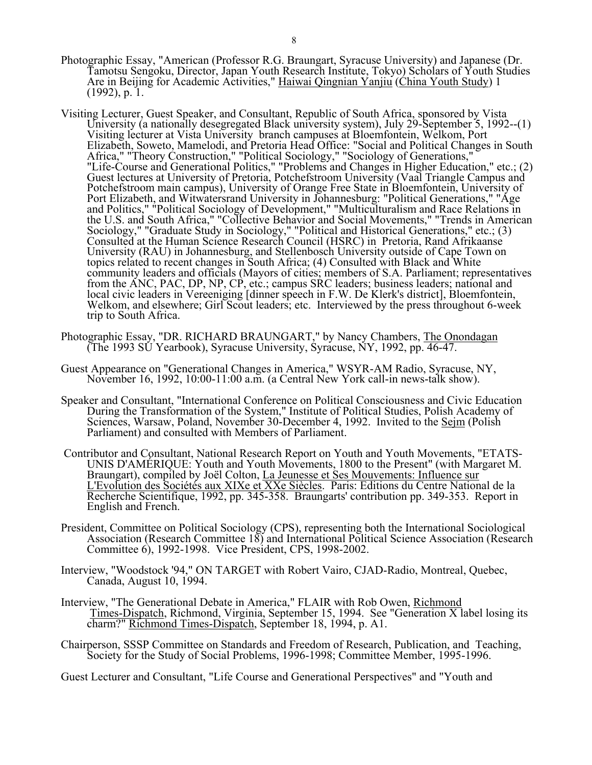- Photographic Essay, "American (Professor R.G. Braungart, Syracuse University) and Japanese (Dr. Tamotsu Sengoku, Director, Japan Youth Research Institute, Tokyo) Scholars of Youth Studies Are in Beijing for Academic Activities," Haiwai Qingnian Yanjiu (China Youth Study) 1 (1992), p. 1.
- Visiting Lecturer, Guest Speaker, and Consultant, Republic of South Africa, sponsored by Vista University (a nationally desegregated Black university system), July 29-September 5, 1992--(1) Visiting lecturer at Vista University branch campuses at Bloemfontein, Welkom, Port Elizabeth, Soweto, Mamelodi, and Pretoria Head Office: "Social and Political Changes in South Africa," "Theory Construction," "Political Sociology," "Sociology of Generations," "Life-Course and Generational Politics," "Problems and Changes in Higher Education," etc.; (2) Guest lectures at University of Pretoria, Potchefstroom University (Vaal Triangle Campus and Potchefstroom main campus), University of Orange Free State in Bloemfontein, University of Port Elizabeth, and Witwatersrand University in Johannesburg: "Political Generations," "Age and Politics," "Political Sociology of Development," "Multiculturalism and Race Relations in the U.S. and South Africa," "Collective Behavior and Social Movements," "Trends in American Sociology," "Graduate Study in Sociology," "Political and Historical Generations," etc.; (3) Consulted at the Human Science Research Council (HSRC) in Pretoria, Rand Afrikaanse University (RAU) in Johannesburg, and Stellenbosch University outside of Cape Town on topics related to recent changes in South Africa; (4) Consulted with Black and White community leaders and officials (Mayors of cities; members of S.A. Parliament; representatives from the ANC, PAC, DP, NP, CP, etc.; campus SRC leaders; business leaders; national and local civic leaders in Vereeniging [dinner speech in F.W. De Klerk's district], Bloemfontein, Welkom, and elsewhere; Girl Scout leaders; etc. Interviewed by the press throughout 6-week trip to South Africa.
- Photographic Essay, "DR. RICHARD BRAUNGART," by Nancy Chambers, The Onondagan (The 1993 SU Yearbook), Syracuse University, Syracuse, NY, 1992, pp. 46-47.
	- Guest Appearance on "Generational Changes in America," WSYR-AM Radio, Syracuse, NY, November 16, 1992, 10:00-11:00 a.m. (a Central New York call-in news-talk show).
	- Speaker and Consultant, "International Conference on Political Consciousness and Civic Education During the Transformation of the System," Institute of Political Studies, Polish Academy of Sciences, Warsaw, Poland, November 30-December 4, 1992. Invited to the Seim (Polish Parliament) and consulted with Members of Parliament.
	- Contributor and Consultant, National Research Report on Youth and Youth Movements, "ETATS-UNIS D'AMÉRIQUE: Youth and Youth Movements, 1800 to the Present" (with Margaret M. Braungart), compiled by Joël Colton, *La Jeunesse et Ses Mouvements: Influence sur* L'Evolution des Sociétés aux XIXe et XXe Siècles. Paris: Editions du Centre National de la Recherche Scientifique, 1992, pp. 345-358. Braungarts' contribution pp. 349-353. Report in English and French.
	- President, Committee on Political Sociology (CPS), representing both the International Sociological Association (Research Committee 18) and International Political Science Association (Research Committee 6), 1992-1998. Vice President, CPS, 1998-2002.
- Interview, "Woodstock '94," ON TARGET with Robert Vairo, CJAD-Radio, Montreal, Quebec, Canada, August 10, 1994.
- Interview, "The Generational Debate in America," FLAIR with Rob Owen, Richmond Times-Dispatch, Richmond, Virginia, September 15, 1994. See "Generation X label losing its charm?" Richmond Times-Dispatch, September 18, 1994, p. A1.
	- Chairperson, SSSP Committee on Standards and Freedom of Research, Publication, and Teaching, Society for the Study of Social Problems, 1996-1998; Committee Member, 1995-1996.

Guest Lecturer and Consultant, "Life Course and Generational Perspectives" and "Youth and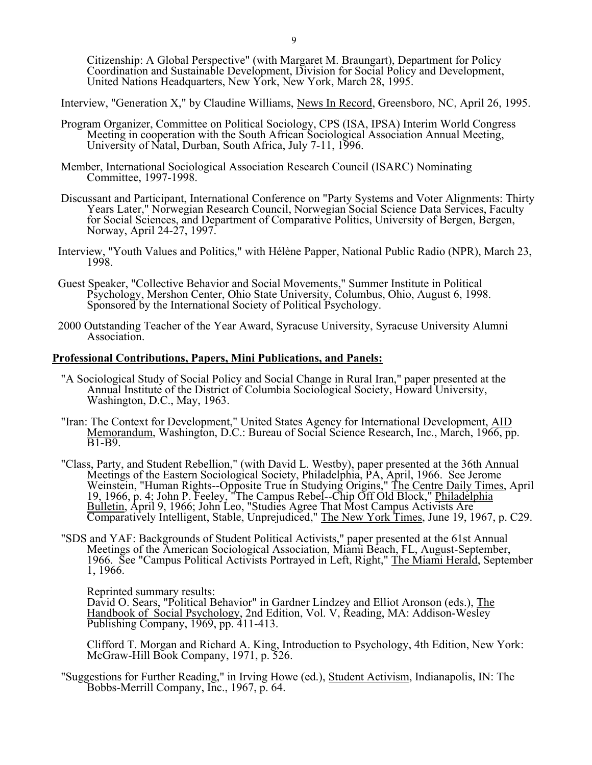Citizenship: A Global Perspective" (with Margaret M. Braungart), Department for Policy Coordination and Sustainable Development, Division for Social Policy and Development, United Nations Headquarters, New York, New York, March 28, 1995.

Interview, "Generation X," by Claudine Williams, News In Record, Greensboro, NC, April 26, 1995.

- Program Organizer, Committee on Political Sociology, CPS (ISA, IPSA) Interim World Congress Meeting in cooperation with the South African Sociological Association Annual Meeting, University of Natal, Durban, South Africa, July 7-11, 1996.
- Member, International Sociological Association Research Council (ISARC) Nominating Committee, 1997-1998.
- Discussant and Participant, International Conference on "Party Systems and Voter Alignments: Thirty Years Later," Norwegian Research Council, Norwegian Social Science Data Services, Faculty for Social Sciences, and Department of Comparative Politics, University of Bergen, Bergen, Norway, April 24-27, 1997.
- Interview, "Youth Values and Politics," with Hélène Papper, National Public Radio (NPR), March 23, 1998.
- Guest Speaker, "Collective Behavior and Social Movements," Summer Institute in Political Psychology, Mershon Center, Ohio State University, Columbus, Ohio, August 6, 1998. Sponsored by the International Society of Political Psychology.
- 2000 Outstanding Teacher of the Year Award, Syracuse University, Syracuse University Alumni Association.

## **Professional Contributions, Papers, Mini Publications, and Panels:**

- "A Sociological Study of Social Policy and Social Change in Rural Iran," paper presented at the Annual Institute of the District of Columbia Sociological Society, Howard University, Washington, D.C., May, 1963.
- "Iran: The Context for Development," United States Agency for International Development, AID Memorandum, Washington, D.C.: Bureau of Social Science Research, Inc., March, 1966, pp. B1-B9.
- "Class, Party, and Student Rebellion," (with David L. Westby), paper presented at the 36th Annual Meetings of the Eastern Sociological Society, Philadelphia, PA, April, 1966. See Jerome Weinstein, "Human Rights--Opposite True in Studying Origins," The Centre Daily Times, April 19, 1966, p. 4; John P. Feeley, "The Campus Rebel--Chip Off Old Block," Philadelphia Bulletin, April 9, 1966; John Leo, "Studies Agree That Most Campus Activists Are Comparatively Intelligent, Stable, Unprejudiced," The New York Times, June 19, 1967, p. C29.
- "SDS and YAF: Backgrounds of Student Political Activists," paper presented at the 61st Annual Meetings of the American Sociological Association, Miami Beach, FL, August-September, 1966. See "Campus Political Activists Portrayed in Left, Right," The Miami Herald, September 1, 1966.

Reprinted summary results:

David O. Sears, "Political Behavior" in Gardner Lindzey and Elliot Aronson (eds.), The Handbook of Social Psychology, 2nd Edition, Vol. V, Reading, MA: Addison-Wesley Publishing Company, 1969, pp. 411-413.

 Clifford T. Morgan and Richard A. King, Introduction to Psychology, 4th Edition, New York: McGraw-Hill Book Company, 1971, p. 526.

 "Suggestions for Further Reading," in Irving Howe (ed.), Student Activism, Indianapolis, IN: The Bobbs-Merrill Company, Inc., 1967, p. 64.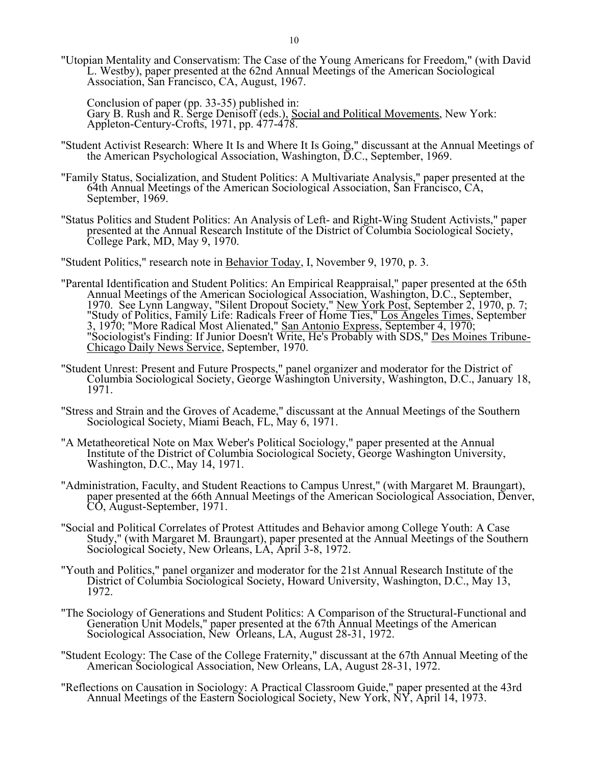"Utopian Mentality and Conservatism: The Case of the Young Americans for Freedom," (with David L. Westby), paper presented at the 62nd Annual Meetings of the American Sociological Association, San Francisco, CA, August, 1967.

 Conclusion of paper (pp. 33-35) published in: Gary B. Rush and R. Serge Denisoff (eds.), Social and Political Movements, New York: Appleton-Century-Crofts, 1971, pp. 477-478.

- "Student Activist Research: Where It Is and Where It Is Going," discussant at the Annual Meetings of the American Psychological Association, Washington, D.C., September, 1969.
- "Family Status, Socialization, and Student Politics: A Multivariate Analysis," paper presented at the 64th Annual Meetings of the American Sociological Association, San Francisco, CA, September, 1969.
- "Status Politics and Student Politics: An Analysis of Left- and Right-Wing Student Activists," paper presented at the Annual Research Institute of the District of Columbia Sociological Society, College Park, MD, May 9, 1970.
- "Student Politics," research note in Behavior Today, I, November 9, 1970, p. 3.
- "Parental Identification and Student Politics: An Empirical Reappraisal," paper presented at the 65th Annual Meetings of the American Sociological Association, Washington, D.C., September, 1970. See Lynn Langway, "Silent Dropout Society," New York Post, September 2, 1970, p. 7; "Study of Politics, Family Life: Radicals Freer of Home Ties," Los Angeles Times, September 3, 1970; "More Radical Most Alienated," San Antonio Express, September 4, 1970; "Sociologist's Finding: If Junior Doesn't Write, He's Probably with SDS," Des Moines Tribune-Chicago Daily News Service, September, 1970.
- "Student Unrest: Present and Future Prospects," panel organizer and moderator for the District of Columbia Sociological Society, George Washington University, Washington, D.C., January 18, 1971.
- "Stress and Strain and the Groves of Academe," discussant at the Annual Meetings of the Southern Sociological Society, Miami Beach, FL, May 6, 1971.
- "A Metatheoretical Note on Max Weber's Political Sociology," paper presented at the Annual Institute of the District of Columbia Sociological Society, George Washington University, Washington, D.C., May 14, 1971.
	- "Administration, Faculty, and Student Reactions to Campus Unrest," (with Margaret M. Braungart), paper presented at the 66th Annual Meetings of the American Sociological Association, Denver, CO, August-September, 1971.
	- "Social and Political Correlates of Protest Attitudes and Behavior among College Youth: A Case Study," (with Margaret M. Braungart), paper presented at the Annual Meetings of the Southern Sociological Society, New Orleans, LA, April 3-8, 1972.
	- "Youth and Politics," panel organizer and moderator for the 21st Annual Research Institute of the District of Columbia Sociological Society, Howard University, Washington, D.C., May 13, 1972.
	- "The Sociology of Generations and Student Politics: A Comparison of the Structural-Functional and Generation Unit Models," paper presented at the 67th Annual Meetings of the American Sociological Association, New Orleans, LA, August 28-31, 1972.
	- "Student Ecology: The Case of the College Fraternity," discussant at the 67th Annual Meeting of the American Sociological Association, New Orleans, LA, August 28-31, 1972.
	- "Reflections on Causation in Sociology: A Practical Classroom Guide," paper presented at the 43rd Annual Meetings of the Eastern Sociological Society, New York, NY, April 14, 1973.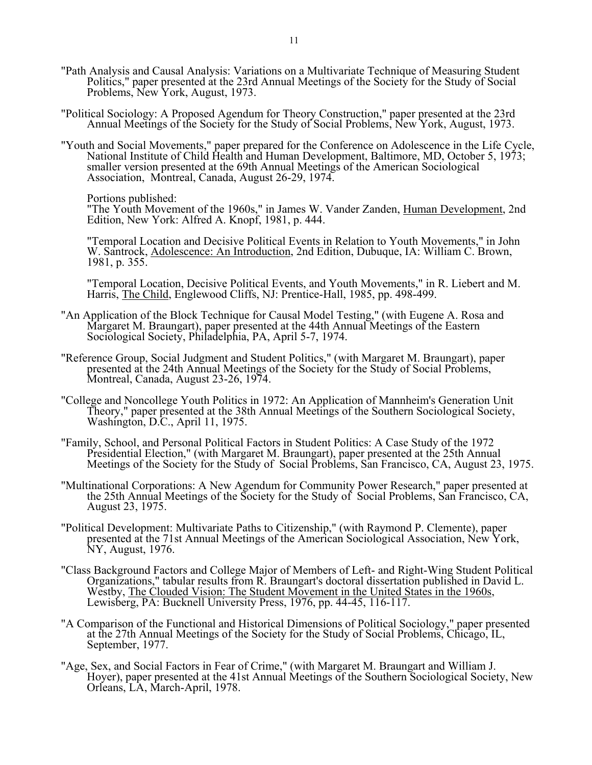- "Path Analysis and Causal Analysis: Variations on a Multivariate Technique of Measuring Student Politics," paper presented at the 23rd Annual Meetings of the Society for the Study of Social Problems, New York, August, 1973.
- "Political Sociology: A Proposed Agendum for Theory Construction," paper presented at the 23rd Annual Meetings of the Society for the Study of Social Problems, New York, August, 1973.
- "Youth and Social Movements," paper prepared for the Conference on Adolescence in the Life Cycle, National Institute of Child Health and Human Development, Baltimore, MD, October 5, 1973; smaller version presented at the 69th Annual Meetings of the American Sociological Association, Montreal, Canada, August 26-29, 1974.
	- Portions published:

Tortions published:<br>"The Youth Movement of the 1960s," in James W. Vander Zanden, Human Development, 2nd Edition, New York: Alfred A. Knopf, 1981, p. 444.

 "Temporal Location and Decisive Political Events in Relation to Youth Movements," in John W. Santrock, Adolescence: An Introduction, 2nd Edition, Dubuque, IA: William C. Brown, 1981, p. 355.

 "Temporal Location, Decisive Political Events, and Youth Movements," in R. Liebert and M. Harris, The Child, Englewood Cliffs, NJ: Prentice-Hall, 1985, pp. 498-499.

- "An Application of the Block Technique for Causal Model Testing," (with Eugene A. Rosa and Margaret M. Braungart), paper presented at the 44th Annual Meetings of the Eastern Sociological Society, Philadelphia, PA, April 5-7, 1974.
	- "Reference Group, Social Judgment and Student Politics," (with Margaret M. Braungart), paper presented at the 24th Annual Meetings of the Society for the Study of Social Problems, Montreal, Canada, August 23-26, 1974.
	- "College and Noncollege Youth Politics in 1972: An Application of Mannheim's Generation Unit Theory," paper presented at the 38th Annual Meetings of the Southern Sociological Society, Washington, D.C., April 11, 1975.
	- "Family, School, and Personal Political Factors in Student Politics: A Case Study of the 1972 Presidential Election," (with Margaret M. Braungart), paper presented at the 25th Annual Meetings of the Society for the Study of Social Problems, San Francisco, CA, August 23, 1975.
	- "Multinational Corporations: A New Agendum for Community Power Research," paper presented at the 25th Annual Meetings of the Society for the Study of Social Problems, San Francisco, CA, August 23, 1975.
	- "Political Development: Multivariate Paths to Citizenship," (with Raymond P. Clemente), paper presented at the 71st Annual Meetings of the American Sociological Association, New York, NY, August, 1976.
	- "Class Background Factors and College Major of Members of Left- and Right-Wing Student Political Organizations," tabular results from R. Braungart's doctoral dissertation published in David L. Westby, The Clouded Vision: The Student Movement in the United States in the 1960s, Lewisberg, PA: Bucknell University Press, 1976, pp. 44-45, 116-117.
	- "A Comparison of the Functional and Historical Dimensions of Political Sociology," paper presented at the 27th Annual Meetings of the Society for the Study of Social Problems, Chicago, IL, September, 1977.
	- "Age, Sex, and Social Factors in Fear of Crime," (with Margaret M. Braungart and William J. Hoyer), paper presented at the 41st Annual Meetings of the Southern Sociological Society, New Orleans, LA, March-April, 1978.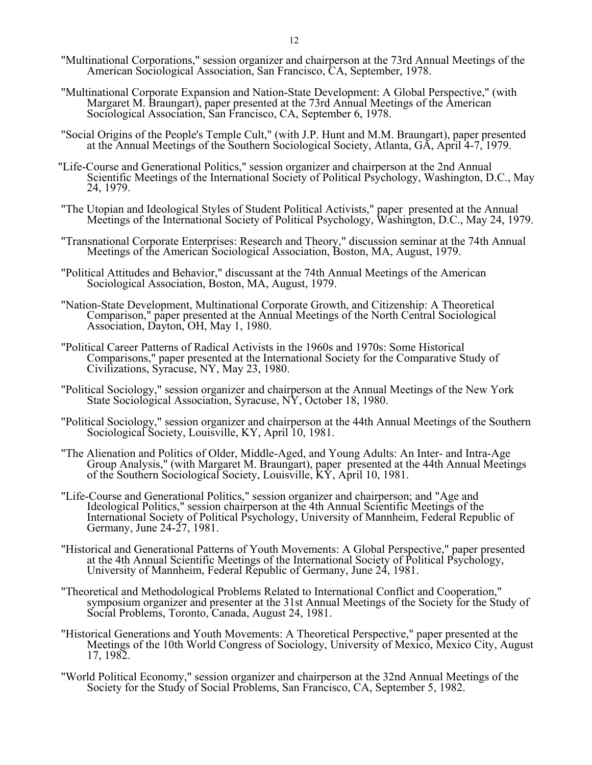- "Multinational Corporations," session organizer and chairperson at the 73rd Annual Meetings of the American Sociological Association, San Francisco, CA, September, 1978.
- "Multinational Corporate Expansion and Nation-State Development: A Global Perspective," (with Margaret M. Braungart), paper presented at the 73rd Annual Meetings of the American Sociological Association, San Francisco, CA, September 6, 1978.
- "Social Origins of the People's Temple Cult," (with J.P. Hunt and M.M. Braungart), paper presented at the Annual Meetings of the Southern Sociological Society, Atlanta, GA, April 4-7, 1979.
- "Life-Course and Generational Politics," session organizer and chairperson at the 2nd Annual Scientific Meetings of the International Society of Political Psychology, Washington, D.C., May 24, 1979.
- "The Utopian and Ideological Styles of Student Political Activists," paper presented at the Annual Meetings of the International Society of Political Psychology, Washington, D.C., May 24, 1979.
	- "Transnational Corporate Enterprises: Research and Theory," discussion seminar at the 74th Annual Meetings of the American Sociological Association, Boston, MA, August, 1979.
	- "Political Attitudes and Behavior," discussant at the 74th Annual Meetings of the American Sociological Association, Boston, MA, August, 1979.
	- "Nation-State Development, Multinational Corporate Growth, and Citizenship: A Theoretical Comparison," paper presented at the Annual Meetings of the North Central Sociological Association, Dayton, OH, May 1, 1980.
	- "Political Career Patterns of Radical Activists in the 1960s and 1970s: Some Historical Comparisons," paper presented at the International Society for the Comparative Study of Civilizations, Syracuse, NY, May 23, 1980.
	- "Political Sociology," session organizer and chairperson at the Annual Meetings of the New York State Sociological Association, Syracuse, NY, October 18, 1980.
	- "Political Sociology," session organizer and chairperson at the 44th Annual Meetings of the Southern Sociological Society, Louisville, KY, April 10, 1981.
	- "The Alienation and Politics of Older, Middle-Aged, and Young Adults: An Inter- and Intra-Age Group Analysis," (with Margaret M. Braungart), paper presented at the 44th Annual Meetings of the Southern Sociological Society, Louisville, KY, April 10, 1981.
	- "Life-Course and Generational Politics," session organizer and chairperson; and "Age and Ideological Politics," session chairperson at the 4th Annual Scientific Meetings of the International Society of Political Psychology, University of Mannheim, Federal Republic of Germany, June 24-27, 1981.
	- "Historical and Generational Patterns of Youth Movements: A Global Perspective," paper presented at the 4th Annual Scientific Meetings of the International Society of Political Psychology, University of Mannheim, Federal Republic of Germany, June 24, 1981.
	- "Theoretical and Methodological Problems Related to International Conflict and Cooperation," symposium organizer and presenter at the 31st Annual Meetings of the Society for the Study of Social Problems, Toronto, Canada, August 24, 1981.
	- "Historical Generations and Youth Movements: A Theoretical Perspective," paper presented at the Meetings of the 10th World Congress of Sociology, University of Mexico, Mexico City, August 17, 1982.
	- "World Political Economy," session organizer and chairperson at the 32nd Annual Meetings of the Society for the Study of Social Problems, San Francisco, CA, September 5, 1982.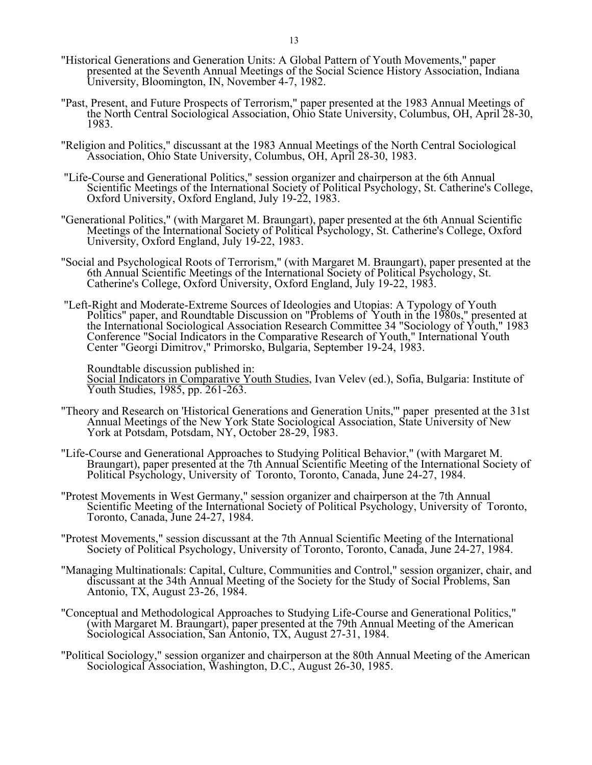- "Historical Generations and Generation Units: A Global Pattern of Youth Movements," paper presented at the Seventh Annual Meetings of the Social Science History Association, Indiana University, Bloomington, IN, November 4-7, 1982.
- "Past, Present, and Future Prospects of Terrorism," paper presented at the 1983 Annual Meetings of the North Central Sociological Association, Ohio State University, Columbus, OH, April 28-30, 1983.
- "Religion and Politics," discussant at the 1983 Annual Meetings of the North Central Sociological Association, Ohio State University, Columbus, OH, April 28-30, 1983.
- "Life-Course and Generational Politics," session organizer and chairperson at the 6th Annual Scientific Meetings of the International Society of Political Psychology, St. Catherine's College, Oxford University, Oxford England, July 19-22, 1983.
- "Generational Politics," (with Margaret M. Braungart), paper presented at the 6th Annual Scientific Meetings of the International Society of Political Psychology, St. Catherine's College, Oxford University, Oxford England, July 19-22, 1983.
	- "Social and Psychological Roots of Terrorism," (with Margaret M. Braungart), paper presented at the 6th Annual Scientific Meetings of the International Society of Political Psychology, St. Catherine's College, Oxford University, Oxford England, July 19-22, 1983.
	- "Left-Right and Moderate-Extreme Sources of Ideologies and Utopias: A Typology of Youth Politics" paper, and Roundtable Discussion on "Problems of Youth in the 1980s," presented at the International Sociological Association Research Committee 34 "Sociology of Youth," 1983 Conference "Social Indicators in the Comparative Research of Youth," International Youth Center "Georgi Dimitrov," Primorsko, Bulgaria, September 19-24, 1983.

Roundtable discussion published in:

Social Indicators in Comparative Youth Studies, Ivan Velev (ed.), Sofia, Bulgaria: Institute of Youth Studies, 1985, pp. 261-263.

- "Theory and Research on 'Historical Generations and Generation Units,'" paper presented at the 31st Annual Meetings of the New York State Sociological Association, State University of New York at Potsdam, Potsdam, NY, October 28-29, 1983.
	- "Life-Course and Generational Approaches to Studying Political Behavior," (with Margaret M. Braungart), paper presented at the 7th Annual Scientific Meeting of the International Society of Political Psychology, University of Toronto, Toronto, Canada, June 24-27, 1984.
	- "Protest Movements in West Germany," session organizer and chairperson at the 7th Annual Scientific Meeting of the International Society of Political Psychology, University of Toronto, Toronto, Canada, June 24-27, 1984.
	- "Protest Movements," session discussant at the 7th Annual Scientific Meeting of the International Society of Political Psychology, University of Toronto, Toronto, Canada, June 24-27, 1984.
- "Managing Multinationals: Capital, Culture, Communities and Control," session organizer, chair, and discussant at the 34th Annual Meeting of the Society for the Study of Social Problems, San Antonio, TX, August 23-26, 1984.
	- "Conceptual and Methodological Approaches to Studying Life-Course and Generational Politics," (with Margaret M. Braungart), paper presented at the 79th Annual Meeting of the American Sociological Association, San Antonio, TX, August 27-31, 1984.
	- "Political Sociology," session organizer and chairperson at the 80th Annual Meeting of the American Sociological Association, Washington, D.C., August 26-30, 1985.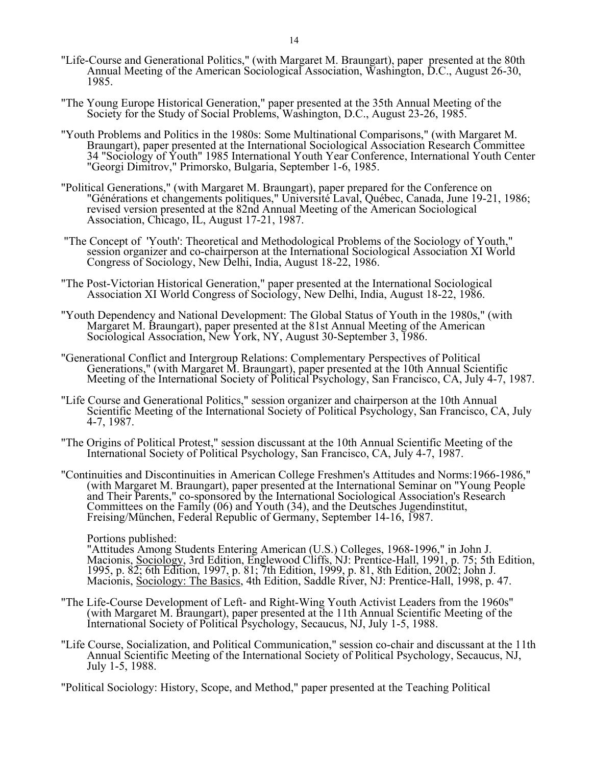- "Life-Course and Generational Politics," (with Margaret M. Braungart), paper presented at the 80th Annual Meeting of the American Sociological Association, Washington, D.C., August 26-30, 1985.
	- "The Young Europe Historical Generation," paper presented at the 35th Annual Meeting of the Society for the Study of Social Problems, Washington, D.C., August 23-26, 1985.
	- "Youth Problems and Politics in the 1980s: Some Multinational Comparisons," (with Margaret M. Braungart), paper presented at the International Sociological Association Research Committee 34 "Sociology of Youth" 1985 International Youth Year Conference, International Youth Center "Georgi Dimitrov," Primorsko, Bulgaria, September 1-6, 1985.
	- "Political Generations," (with Margaret M. Braungart), paper prepared for the Conference on "Générations et changements politiques," Université Laval, Québec, Canada, June 19-21, 1986; revised version presented at the 82nd Annual Meeting of the American Sociological Association, Chicago, IL, August 17-21, 1987.
	- "The Concept of 'Youth': Theoretical and Methodological Problems of the Sociology of Youth," session organizer and co-chairperson at the International Sociological Association XI World Congress of Sociology, New Delhi, India, August 18-22, 1986.
	- "The Post-Victorian Historical Generation," paper presented at the International Sociological Association XI World Congress of Sociology, New Delhi, India, August 18-22, 1986.
	- "Youth Dependency and National Development: The Global Status of Youth in the 1980s," (with Margaret M. Braungart), paper presented at the 81st Annual Meeting of the American Sociological Association, New York, NY, August 30-September 3, 1986.
	- "Generational Conflict and Intergroup Relations: Complementary Perspectives of Political Generations," (with Margaret M. Braungart), paper presented at the 10th Annual Scientific Meeting of the International Society of Political Psychology, San Francisco, CA, July 4-7, 1987.
	- "Life Course and Generational Politics," session organizer and chairperson at the 10th Annual Scientific Meeting of the International Society of Political Psychology, San Francisco, CA, July 4-7, 1987.
	- "The Origins of Political Protest," session discussant at the 10th Annual Scientific Meeting of the International Society of Political Psychology, San Francisco, CA, July 4-7, 1987.
	- "Continuities and Discontinuities in American College Freshmen's Attitudes and Norms:1966-1986," (with Margaret M. Braungart), paper presented at the International Seminar on "Young People and Their Parents," co-sponsored by the International Sociological Association's Research Committees on the Family (06) and Youth (34), and the Deutsches Jugendinstitut, Freising/München, Federal Republic of Germany, September 14-16, 1987.

Portions published:

 "Attitudes Among Students Entering American (U.S.) Colleges, 1968-1996," in John J. Macionis, Sociology, 3rd Edition, Englewood Cliffs, NJ: Prentice-Hall, 1991, p. 75; 5th Edition, 1995, p. 82; 6th Edition, 1997, p. 81; 7th Edition, 1999, p. 81, 8th Edition, 2002; John J. Macionis, Sociology: The Basics, 4th Edition, Saddle River, NJ: Prentice-Hall, 1998, p. 47.

- "The Life-Course Development of Left- and Right-Wing Youth Activist Leaders from the 1960s" (with Margaret M. Braungart), paper presented at the 11th Annual Scientific Meeting of the International Society of Political Psychology, Secaucus, NJ, July 1-5, 1988.
- "Life Course, Socialization, and Political Communication," session co-chair and discussant at the 11th Annual Scientific Meeting of the International Society of Political Psychology, Secaucus, NJ, July 1-5, 1988.

"Political Sociology: History, Scope, and Method," paper presented at the Teaching Political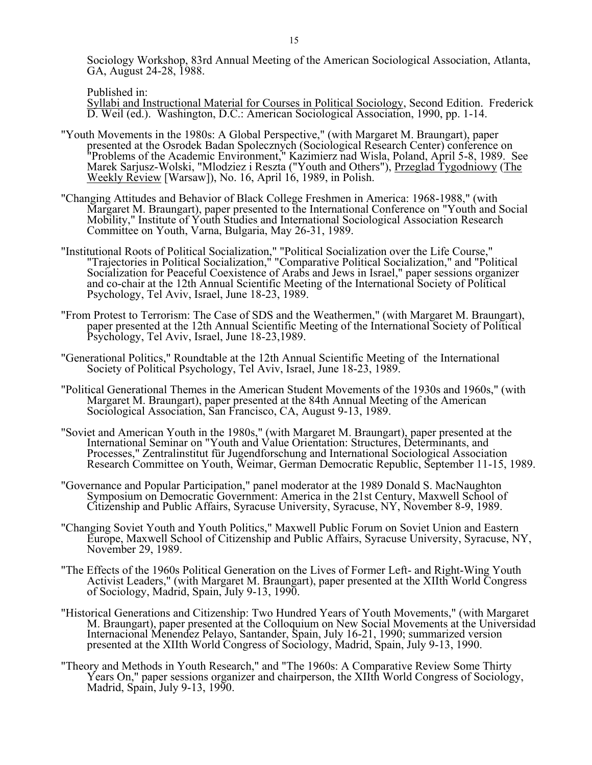Sociology Workshop, 83rd Annual Meeting of the American Sociological Association, Atlanta, GA, August 24-28, 1988.

Published in:

 Syllabi and Instructional Material for Courses in Political Sociology, Second Edition. Frederick D. Weil (ed.). Washington, D.C.: American Sociological Association, 1990, pp. 1-14.

- "Youth Movements in the 1980s: A Global Perspective," (with Margaret M. Braungart), paper presented at the Osrodek Badan Spolecznych (Sociological Research Center) conference on "Problems of the Academic Environment," Kazimierz nad Wisla, Poland, April 5-8, 1989. See Marek Sarjusz-Wolski, "Mlodziez i Reszta ("Youth and Others"), Przeglad Tygodniowy (The Weekly Review [Warsaw]), No. 16, April 16, 1989, in Polish.
- "Changing Attitudes and Behavior of Black College Freshmen in America: 1968-1988," (with Margaret M. Braungart), paper presented to the International Conference on "Youth and Social Mobility," Institute of Youth Studies and International Sociological Association Research Committee on Youth, Varna, Bulgaria, May 26-31, 1989.
- "Institutional Roots of Political Socialization," "Political Socialization over the Life Course," "Trajectories in Political Socialization," "Comparative Political Socialization," and "Political Socialization for Peaceful Coexistence of Arabs and Jews in Israel," paper sessions organizer and co-chair at the 12th Annual Scientific Meeting of the International Society of Political Psychology, Tel Aviv, Israel, June 18-23, 1989.
- "From Protest to Terrorism: The Case of SDS and the Weathermen," (with Margaret M. Braungart), paper presented at the 12th Annual Scientific Meeting of the International Society of Political Psychology, Tel Aviv, Israel, June 18-23,1989.
	- "Generational Politics," Roundtable at the 12th Annual Scientific Meeting of the International Society of Political Psychology, Tel Aviv, Israel, June 18-23, 1989.
	- "Political Generational Themes in the American Student Movements of the 1930s and 1960s," (with Margaret M. Braungart), paper presented at the 84th Annual Meeting of the American Sociological Association, San Francisco, CA, August 9-13, 1989.
- "Soviet and American Youth in the 1980s," (with Margaret M. Braungart), paper presented at the International Seminar on "Youth and Value Orientation: Structures, Determinants, and Processes," Zentralinstitut für Jugendforschung and International Sociological Association Research Committee on Youth, Weimar, German Democratic Republic, September 11-15, 1989.
	- "Governance and Popular Participation," panel moderator at the 1989 Donald S. MacNaughton Symposium on Democratic Government: America in the 21st Century, Maxwell School of Citizenship and Public Affairs, Syracuse University, Syracuse, NY, November 8-9, 1989.
	- "Changing Soviet Youth and Youth Politics," Maxwell Public Forum on Soviet Union and Eastern Europe, Maxwell School of Citizenship and Public Affairs, Syracuse University, Syracuse, NY, November 29, 1989.
	- "The Effects of the 1960s Political Generation on the Lives of Former Left- and Right-Wing Youth Activist Leaders," (with Margaret M. Braungart), paper presented at the XIIth World Congress of Sociology, Madrid, Spain, July 9-13, 1990.
	- "Historical Generations and Citizenship: Two Hundred Years of Youth Movements," (with Margaret M. Braungart), paper presented at the Colloquium on New Social Movements at the Universidad Internacional Menendez Pelayo, Santander, Spain, July 16-21, 1990; summarized version presented at the XIIth World Congress of Sociology, Madrid, Spain, July 9-13, 1990.
	- "Theory and Methods in Youth Research," and "The 1960s: A Comparative Review Some Thirty Years On," paper sessions organizer and chairperson, the XIIth World Congress of Sociology, Madrid, Spain, July 9-13, 1990.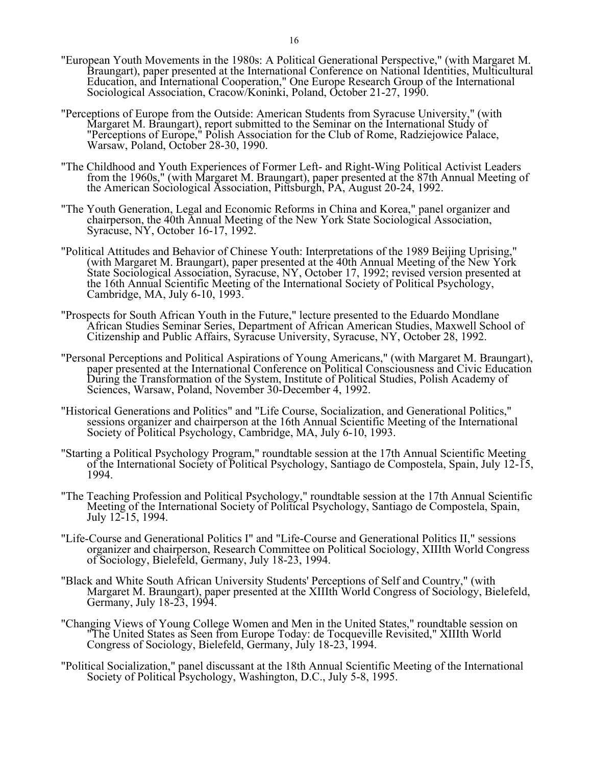- "European Youth Movements in the 1980s: A Political Generational Perspective," (with Margaret M. Braungart), paper presented at the International Conference on National Identities, Multicultural Education, and International Cooperation," One Europe Research Group of the International Sociological Association, Cracow/Koninki, Poland, October 21-27, 1990.
- "Perceptions of Europe from the Outside: American Students from Syracuse University," (with Margaret M. Braungart), report submitted to the Seminar on the International Study of "Perceptions of Europe," Polish Association for the Club of Rome, Radziejowice Palace, Warsaw, Poland, October 28-30, 1990.
- "The Childhood and Youth Experiences of Former Left- and Right-Wing Political Activist Leaders from the 1960s," (with Margaret M. Braungart), paper presented at the 87th Annual Meeting of the American Sociological Association, Pittsburgh, PA, August 20-24, 1992.
- "The Youth Generation, Legal and Economic Reforms in China and Korea," panel organizer and chairperson, the 40th Annual Meeting of the New York State Sociological Association, Syracuse, NY, October 16-17, 1992.
- "Political Attitudes and Behavior of Chinese Youth: Interpretations of the 1989 Beijing Uprising," (with Margaret M. Braungart), paper presented at the 40th Annual Meeting of the New York State Sociological Association, Syracuse, NY, October 17, 1992; revised version presented at the 16th Annual Scientific Meeting of the International Society of Political Psychology, Cambridge, MA, July 6-10, 1993.
- "Prospects for South African Youth in the Future," lecture presented to the Eduardo Mondlane African Studies Seminar Series, Department of African American Studies, Maxwell School of Citizenship and Public Affairs, Syracuse University, Syracuse, NY, October 28, 1992.
- "Personal Perceptions and Political Aspirations of Young Americans," (with Margaret M. Braungart), paper presented at the International Conference on Political Consciousness and Civic Education During the Transformation of the System, Institute of Political Studies, Polish Academy of Sciences, Warsaw, Poland, November 30-December 4, 1992.
- "Historical Generations and Politics" and "Life Course, Socialization, and Generational Politics," sessions organizer and chairperson at the 16th Annual Scientific Meeting of the International Society of Political Psychology, Cambridge, MA, July 6-10, 1993.
- "Starting a Political Psychology Program," roundtable session at the 17th Annual Scientific Meeting of the International Society of Political Psychology, Santiago de Compostela, Spain, July 12-15, 1994.
- "The Teaching Profession and Political Psychology," roundtable session at the 17th Annual Scientific Meeting of the International Society of Political Psychology, Santiago de Compostela, Spain, July 12-15, 1994.
- "Life-Course and Generational Politics I" and "Life-Course and Generational Politics II," sessions organizer and chairperson, Research Committee on Political Sociology, XIIIth World Congress of Sociology, Bielefeld, Germany, July 18-23, 1994.
- "Black and White South African University Students' Perceptions of Self and Country," (with Margaret M. Braungart), paper presented at the XIIIth World Congress of Sociology, Bielefeld, Germany, July 18-23, 1994.
- "Changing Views of Young College Women and Men in the United States," roundtable session on "The United States as Seen from Europe Today: de Tocqueville Revisited," XIIIth World Congress of Sociology, Bielefeld, Germany, July 18-23, 1994.
- "Political Socialization," panel discussant at the 18th Annual Scientific Meeting of the International Society of Political Psychology, Washington, D.C., July 5-8, 1995.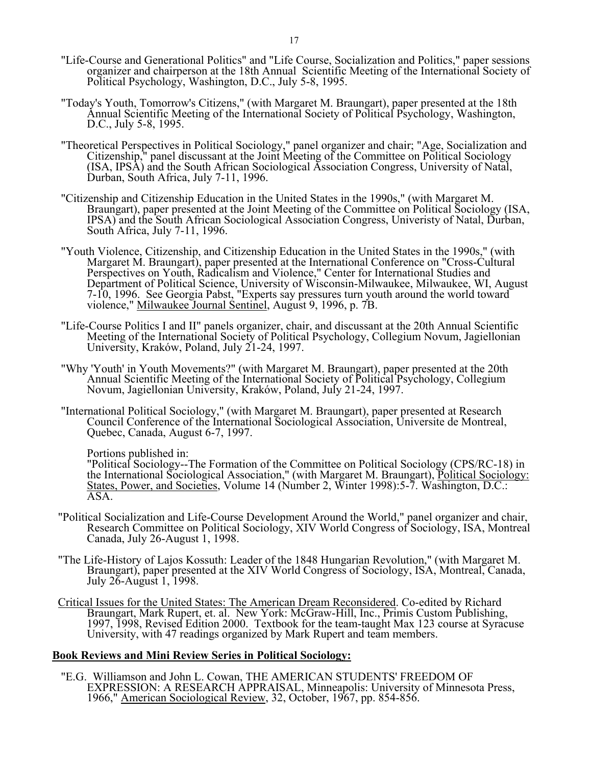- "Life-Course and Generational Politics" and "Life Course, Socialization and Politics," paper sessions organizer and chairperson at the 18th Annual Scientific Meeting of the International Society of Political Psychology, Washington, D.C., July 5-8, 1995.
	- "Today's Youth, Tomorrow's Citizens," (with Margaret M. Braungart), paper presented at the 18th Annual Scientific Meeting of the International Society of Political Psychology, Washington, D.C., July 5-8, 1995.
	- "Theoretical Perspectives in Political Sociology," panel organizer and chair; "Age, Socialization and Citizenship," panel discussant at the Joint Meeting of the Committee on Political Sociology (ISA, IPSA) and the South African Sociological Association Congress, University of Natal, Durban, South Africa, July 7-11, 1996.
	- "Citizenship and Citizenship Education in the United States in the 1990s," (with Margaret M. Braungart), paper presented at the Joint Meeting of the Committee on Political Sociology (ISA, IPSA) and the South African Sociological Association Congress, Univeristy of Natal, Durban, South Africa, July 7-11, 1996.
	- "Youth Violence, Citizenship, and Citizenship Education in the United States in the 1990s," (with Margaret M. Braungart), paper presented at the International Conference on "Cross-Cultural Perspectives on Youth, Radicalism and Violence," Center for International Studies and Department of Political Science, University of Wisconsin-Milwaukee, Milwaukee, WI, August 7-10, 1996. See Georgia Pabst, "Experts say pressures turn youth around the world toward violence," <u>Milwaukee Journal Sentinel</u>, August 9, 1996, p. 7B.
- "Life-Course Politics I and II" panels organizer, chair, and discussant at the 20th Annual Scientific Meeting of the International Society of Political Psychology, Collegium Novum, Jagiellonian University, Kraków, Poland, July 21-24, 1997.
	- "Why 'Youth' in Youth Movements?" (with Margaret M. Braungart), paper presented at the 20th Annual Scientific Meeting of the International Society of Political Psychology, Collegium Novum, Jagiellonian University, Kraków, Poland, July 21-24, 1997.
	- "International Political Sociology," (with Margaret M. Braungart), paper presented at Research Council Conference of the International Sociological Association, Universite de Montreal, Quebec, Canada, August 6-7, 1997.

Portions published in:

"Political Sociology--The Formation of the Committee on Political Sociology (CPS/RC-18) in the International Sociological Association," (with Margaret M. Braungart), Political Sociology: States, Power, and Societies, Volume 14 (Number 2, Winter 1998):5-7. Washington, D.C.: ASA.

- "Political Socialization and Life-Course Development Around the World," panel organizer and chair, Research Committee on Political Sociology, XIV World Congress of Sociology, ISA, Montreal Canada, July 26-August 1, 1998.
- "The Life-History of Lajos Kossuth: Leader of the 1848 Hungarian Revolution," (with Margaret M. Braungart), paper presented at the XIV World Congress of Sociology, ISA, Montreal, Canada, July 26-August 1, 1998.
- Critical Issues for the United States: The American Dream Reconsidered. Co-edited by Richard Braungart, Mark Rupert, et. al. New York: McGraw-Hill, Inc., Primis Custom Publishing, 1997, 1998, Revised Edition 2000. Textbook for the team-taught Max 123 course at Syracuse University, with 47 readings organized by Mark Rupert and team members.

## **Book Reviews and Mini Review Series in Political Sociology:**

 "E.G. Williamson and John L. Cowan, THE AMERICAN STUDENTS' FREEDOM OF EXPRESSION: A RESEARCH APPRAISAL, Minneapolis: University of Minnesota Press, 1966," American Sociological Review, 32, October, 1967, pp. 854-856.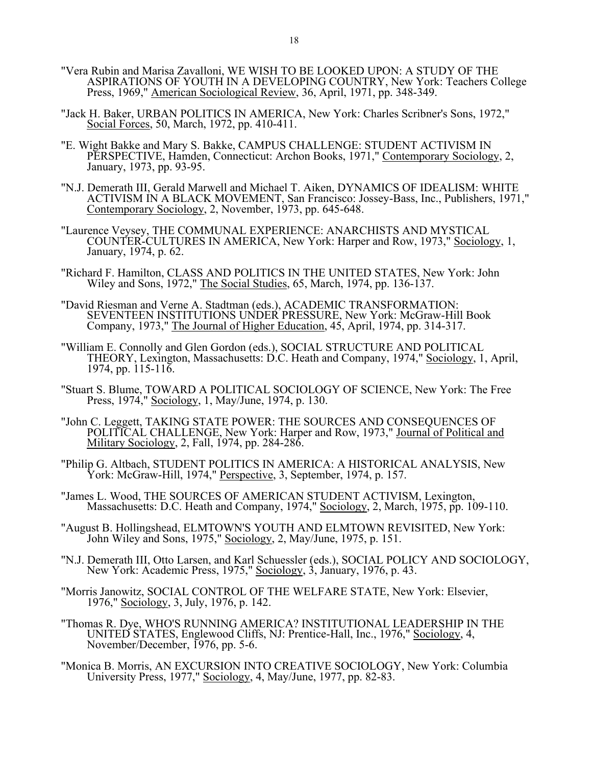- "Vera Rubin and Marisa Zavalloni, WE WISH TO BE LOOKED UPON: A STUDY OF THE ASPIRATIONS OF YOUTH IN A DEVELOPING COUNTRY, New York: Teachers College Press, 1969," American Sociological Review, 36, April, 1971, pp. 348-349.
- "Jack H. Baker, URBAN POLITICS IN AMERICA, New York: Charles Scribner's Sons, 1972," Social Forces, 50, March, 1972, pp. 410-411.
- "E. Wight Bakke and Mary S. Bakke, CAMPUS CHALLENGE: STUDENT ACTIVISM IN PERSPECTIVE, Hamden, Connecticut: Archon Books, 1971," Contemporary Sociology, 2, January, 1973, pp. 93-95.
- "N.J. Demerath III, Gerald Marwell and Michael T. Aiken, DYNAMICS OF IDEALISM: WHITE ACTIVISM IN A BLACK MOVEMENT, San Francisco: Jossey-Bass, Inc., Publishers, 1971," Contemporary Sociology, 2, November, 1973, pp. 645-648.
- "Laurence Veysey, THE COMMUNAL EXPERIENCE: ANARCHISTS AND MYSTICAL COUNTER-CULTURES IN AMERICA, New York: Harper and Row, 1973," Sociology, 1, January, 1974, p. 62.
- "Richard F. Hamilton, CLASS AND POLITICS IN THE UNITED STATES, New York: John Wiley and Sons, 1972," The Social Studies, 65, March, 1974, pp. 136-137.
- "David Riesman and Verne A. Stadtman (eds.), ACADEMIC TRANSFORMATION: SEVENTEEN INSTITUTIONS UNDER PRESSURE, New York: McGraw-Hill Book Company, 1973," The Journal of Higher Education, 45, April, 1974, pp. 314-317.
- "William E. Connolly and Glen Gordon (eds.), SOCIAL STRUCTURE AND POLITICAL THEORY, Lexington, Massachusetts: D.C. Heath and Company, 1974," Sociology, 1, April, 1974, pp. 115-116.
- "Stuart S. Blume, TOWARD A POLITICAL SOCIOLOGY OF SCIENCE, New York: The Free Press, 1974," Sociology, 1, May/June, 1974, p. 130.
- "John C. Leggett, TAKING STATE POWER: THE SOURCES AND CONSEQUENCES OF POLITICAL CHALLENGE, New York: Harper and Row, 1973," Journal of Political and Military Sociology, 2, Fall, 1974, pp. 284-286.
- "Philip G. Altbach, STUDENT POLITICS IN AMERICA: A HISTORICAL ANALYSIS, New York: McGraw-Hill, 1974," Perspective, 3, September, 1974, p. 157.
- "James L. Wood, THE SOURCES OF AMERICAN STUDENT ACTIVISM, Lexington, Massachusetts: D.C. Heath and Company, 1974," Sociology, 2, March, 1975, pp. 109-110.
- "August B. Hollingshead, ELMTOWN'S YOUTH AND ELMTOWN REVISITED, New York: John Wiley and Sons, 1975," Sociology, 2, May/June, 1975, p. 151.
- "N.J. Demerath III, Otto Larsen, and Karl Schuessler (eds.), SOCIAL POLICY AND SOCIOLOGY, New York: Academic Press, 1975," Sociology, 3, January, 1976, p. 43.
- "Morris Janowitz, SOCIAL CONTROL OF THE WELFARE STATE, New York: Elsevier, 1976," Sociology, 3, July, 1976, p. 142.
- "Thomas R. Dye, WHO'S RUNNING AMERICA? INSTITUTIONAL LEADERSHIP IN THE UNITED STATES, Englewood Cliffs, NJ: Prentice-Hall, Inc., 1976," Sociology, 4, November/December, 1976, pp. 5-6.
- "Monica B. Morris, AN EXCURSION INTO CREATIVE SOCIOLOGY, New York: Columbia University Press, 1977," Sociology, 4, May/June, 1977, pp. 82-83.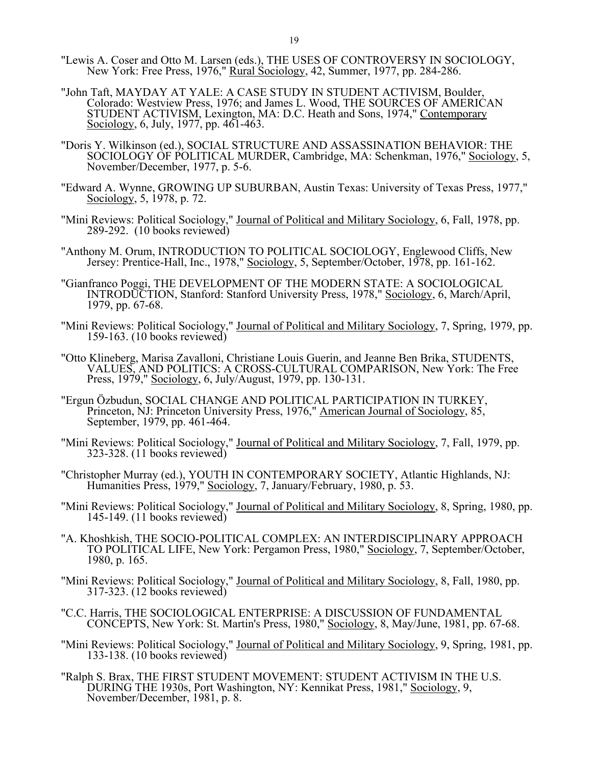- "Lewis A. Coser and Otto M. Larsen (eds.), THE USES OF CONTROVERSY IN SOCIOLOGY, New York: Free Press, 1976," <u>Rural Sociology,</u> 42, Summer, 1977, pp. 284-286.
	- "John Taft, MAYDAY AT YALE: A CASE STUDY IN STUDENT ACTIVISM, Boulder, Colorado: Westview Press, 1976; and James L. Wood, THE SOURCES OF AMERICAN STUDENT ACTIVISM, Lexington, MA: D.C. Heath and Sons, 1974," Contemporary Sociology, 6, July, 1977, pp. 461-463.
	- "Doris Y. Wilkinson (ed.), SOCIAL STRUCTURE AND ASSASSINATION BEHAVIOR: THE SOCIOLOGY OF POLITICAL MURDER, Cambridge, MA: Schenkman, 1976," Sociology, 5, November/December, 1977, p. 5-6.
	- "Edward A. Wynne, GROWING UP SUBURBAN, Austin Texas: University of Texas Press, 1977," Sociology, 5, 1978, p. 72.
	- "Mini Reviews: Political Sociology," Journal of Political and Military Sociology, 6, Fall, 1978, pp. 289-292. (10 books reviewed)
	- "Anthony M. Orum, INTRODUCTION TO POLITICAL SOCIOLOGY, Englewood Cliffs, New Jersey: Prentice-Hall, Inc., 1978," Sociology, 5, September/October, 1978, pp. 161-162.
	- "Gianfranco Poggi, THE DEVELOPMENT OF THE MODERN STATE: A SOCIOLOGICAL INTRODUCTION, Stanford: Stanford University Press, 1978," Sociology, 6, March/April, 1979, pp. 67-68.
	- "Mini Reviews: Political Sociology," Journal of Political and Military Sociology, 7, Spring, 1979, pp. 159-163. (10 books reviewed)
	- "Otto Klineberg, Marisa Zavalloni, Christiane Louis Guerin, and Jeanne Ben Brika, STUDENTS, VALUES, AND POLITICS: A CROSS-CULTURAL COMPARISON, New York: The Free Press, 1979," Sociology, 6, July/August, 1979, pp. 130-131.
	- "Ergun Özbudun, SOCIAL CHANGE AND POLITICAL PARTICIPATION IN TURKEY, Princeton, NJ: Princeton University Press, 1976," American Journal of Sociology, 85, September, 1979, pp. 461-464.
	- "Mini Reviews: Political Sociology," Journal of Political and Military Sociology, 7, Fall, 1979, pp. 323-328. (11 books reviewed)
- "Christopher Murray (ed.), YOUTH IN CONTEMPORARY SOCIETY, Atlantic Highlands, NJ: Humanities Press, 1979," Sociology, 7, January/February, 1980, p. 53.
	- "Mini Reviews: Political Sociology," Journal of Political and Military Sociology, 8, Spring, 1980, pp. 145-149. (11 books reviewed)
	- "A. Khoshkish, THE SOCIO-POLITICAL COMPLEX: AN INTERDISCIPLINARY APPROACH TO POLITICAL LIFE, New York: Pergamon Press, 1980," Sociology, 7, September/October, 1980, p. 165.
	- "Mini Reviews: Political Sociology," Journal of Political and Military Sociology, 8, Fall, 1980, pp. 317-323. (12 books reviewed)
	- "C.C. Harris, THE SOCIOLOGICAL ENTERPRISE: A DISCUSSION OF FUNDAMENTAL CONCEPTS, New York: St. Martin's Press, 1980," Sociology, 8, May/June, 1981, pp. 67-68.
	- "Mini Reviews: Political Sociology," Journal of Political and Military Sociology, 9, Spring, 1981, pp. 133-138. (10 books reviewed)
	- "Ralph S. Brax, THE FIRST STUDENT MOVEMENT: STUDENT ACTIVISM IN THE U.S. DURING THE 1930s, Port Washington, NY: Kennikat Press, 1981," Sociology, 9, November/December, 1981, p. 8.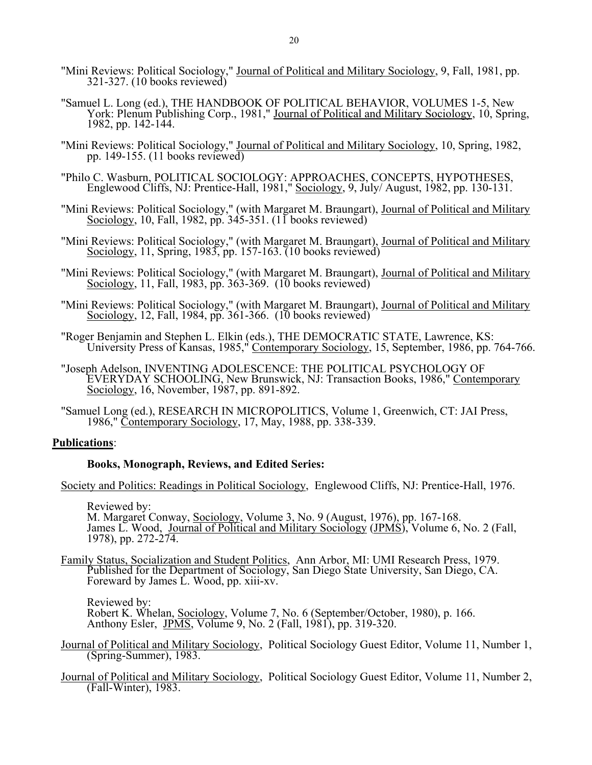- "Mini Reviews: Political Sociology," Journal of Political and Military Sociology, 9, Fall, 1981, pp. 321-327. (10 books reviewed)
- "Samuel L. Long (ed.), THE HANDBOOK OF POLITICAL BEHAVIOR, VOLUMES 1-5, New York: Plenum Publishing Corp., 1981," Journal of Political and Military Sociology, 10, Spring, 1982, pp. 142-144.
- "Mini Reviews: Political Sociology," Journal of Political and Military Sociology, 10, Spring, 1982, pp. 149-155.  $(11$  books reviewed)
- "Philo C. Wasburn, POLITICAL SOCIOLOGY: APPROACHES, CONCEPTS, HYPOTHESES, Englewood Cliffs, NJ: Prentice-Hall, 1981," Sociology, 9, July/ August, 1982, pp. 130-131.
- "Mini Reviews: Political Sociology," (with Margaret M. Braungart), Journal of Political and Military Sociology, 10, Fall, 1982, pp. 345-351. (11 books reviewed)
- "Mini Reviews: Political Sociology," (with Margaret M. Braungart), Journal of Political and Military Sociology, 11, Spring, 1983, pp. 157-163. (10 books reviewed)
- "Mini Reviews: Political Sociology," (with Margaret M. Braungart), Journal of Political and Military Sociology, 11, Fall, 1983, pp. 363-369. (10 books reviewed)
- "Mini Reviews: Political Sociology," (with Margaret M. Braungart), Journal of Political and Military Sociology, 12, Fall, 1984, pp. 361-366. (10 books reviewed)
	- "Roger Benjamin and Stephen L. Elkin (eds.), THE DEMOCRATIC STATE, Lawrence, KS: University Press of Kansas, 1985," Contemporary Sociology, 15, September, 1986, pp. 764-766.
	- "Joseph Adelson, INVENTING ADOLESCENCE: THE POLITICAL PSYCHOLOGY OF EVERYDAY SCHOOLING, New Brunswick, NJ: Transaction Books, 1986," Contemporary Sociology, 16, November, 1987, pp. 891-892.
	- "Samuel Long (ed.), RESEARCH IN MICROPOLITICS, Volume 1, Greenwich, CT: JAI Press, 1986," Contemporary Sociology, 17, May, 1988, pp. 338-339.

## **Publications**:

## **Books, Monograph, Reviews, and Edited Series:**

Society and Politics: Readings in Political Sociology, Englewood Cliffs, NJ: Prentice-Hall, 1976.

 Reviewed by: M. Margaret Conway, Sociology, Volume 3, No. 9 (August, 1976), pp. 167-168. James L. Wood, Journal of Political and Military Sociology (JPMS), Volume 6, No. 2 (Fall, 1978), pp. 272-274.

 Family Status, Socialization and Student Politics, Ann Arbor, MI: UMI Research Press, 1979. Published for the Department of Sociology, San Diego State University, San Diego, CA. Foreward by James  $\vec{L}$ . Wood, pp. xiii-xv.

 Reviewed by: Robert K. Whelan, Sociology, Volume 7, No. 6 (September/October, 1980), p. 166. Anthony Esler, J $\overline{PMS}$ , Volume 9, No. 2 (Fall, 1981), pp. 319-320.

- Journal of Political and Military Sociology, Political Sociology Guest Editor, Volume 11, Number 1, (Spring-Summer), 1983.
- Journal of Political and Military Sociology, Political Sociology Guest Editor, Volume 11, Number 2, (Fall-Winter), 1983.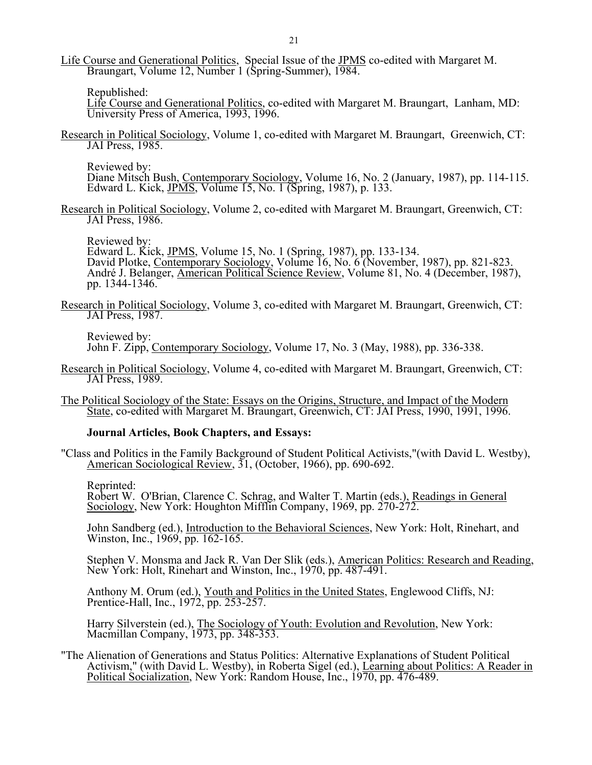Life Course and Generational Politics, Special Issue of the JPMS co-edited with Margaret M. Braungart, Volume 12, Number 1 (Spring-Summer), 1984.

Republished:

 Life Course and Generational Politics, co-edited with Margaret M. Braungart, Lanham, MD: University Press of America, 1993, 1996.

 Research in Political Sociology, Volume 1, co-edited with Margaret M. Braungart, Greenwich, CT: JAI Press, 1985.

Reviewed by:

Diane Mitsch Bush, Contemporary Sociology, Volume 16, No. 2 (January, 1987), pp. 114-115. Edward L. Kick, <u>JPMS</u>, Volume 15, No. 1 (Spring, 1987), p. 133.

 Research in Political Sociology, Volume 2, co-edited with Margaret M. Braungart, Greenwich, CT: JAI Press, 1986.

Reviewed by:

Edward L. Kick, JPMS, Volume 15, No. 1 (Spring, 1987), pp. 133-134. David Plotke, Contemporary Sociology, Volume 16, No. 6 (November, 1987), pp. 821-823. André J. Belanger, American Political Science Review, Volume 81, No. 4 (December, 1987), pp. 1344-1346.

 Research in Political Sociology, Volume 3, co-edited with Margaret M. Braungart, Greenwich, CT: JAI Press, 1987.

 Reviewed by: John F. Zipp, Contemporary Sociology, Volume 17, No. 3 (May, 1988), pp. 336-338.

- Research in Political Sociology, Volume 4, co-edited with Margaret M. Braungart, Greenwich, CT: JAI Press, 1989.
- The Political Sociology of the State: Essays on the Origins, Structure, and Impact of the Modern State, co-edited with Margaret M. Braungart, Greenwich, CT: JAI Press, 1990, 1991, 1996.

#### **Journal Articles, Book Chapters, and Essays:**

 "Class and Politics in the Family Background of Student Political Activists,"(with David L. Westby), American Sociological Review, 31, (October, 1966), pp. 690-692.

Reprinted:

Robert W. O'Brian, Clarence C. Schrag, and Walter T. Martin (eds.), Readings in General Sociology, New York: Houghton Mifflin Company, 1969, pp. 270-272.

 John Sandberg (ed.), Introduction to the Behavioral Sciences, New York: Holt, Rinehart, and Winston, Inc., 1969, pp. 162-165.

 Stephen V. Monsma and Jack R. Van Der Slik (eds.), American Politics: Research and Reading, New York: Holt, Rinehart and Winston, Inc., 1970, pp. 487-491.

 Anthony M. Orum (ed.), Youth and Politics in the United States, Englewood Cliffs, NJ: Prentice-Hall, Inc., 1972, pp. 253-257.

 Harry Silverstein (ed.), The Sociology of Youth: Evolution and Revolution, New York: Macmillan Company, 1973, pp. 348-353.

 "The Alienation of Generations and Status Politics: Alternative Explanations of Student Political Activism," (with David L. Westby), in Roberta Sigel (ed.), Learning about Politics: A Reader in Political Socialization, New York: Random House, Inc., 1970, pp. 476-489.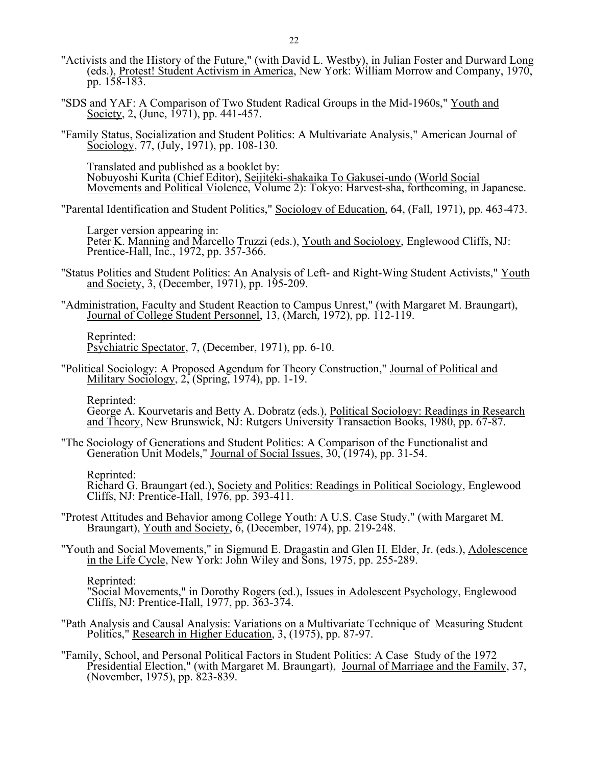- "Activists and the History of the Future," (with David L. Westby), in Julian Foster and Durward Long (eds.), Protest! Student Activism in America, New York: William Morrow and Company, 1970, pp. 158-183.
	- "SDS and YAF: A Comparison of Two Student Radical Groups in the Mid-1960s," Youth and Society, 2, (June, 1971), pp. 441-457.
	- "Family Status, Socialization and Student Politics: A Multivariate Analysis," American Journal of Sociology, 77, (July, 1971), pp. 108-130.

Translated and published as a booklet by: Nobuyoshi Kurita (Chief Editor), Seijiteki-shakaika To Gakusei-undo (World Social Movements and Political Violence, Volume 2): Tokyo: Harvest-sha, forthcoming, in Japanese.

"Parental Identification and Student Politics," Sociology of Education, 64, (Fall, 1971), pp. 463-473.

 Larger version appearing in: Peter K. Manning and Marcello Truzzi (eds.), Youth and Sociology, Englewood Cliffs, NJ: Prentice-Hall, Inc., 1972, pp. 357-366.

- "Status Politics and Student Politics: An Analysis of Left- and Right-Wing Student Activists," Youth and Society, 3, (December, 1971), pp. 195-209.
- "Administration, Faculty and Student Reaction to Campus Unrest," (with Margaret M. Braungart), Journal of College Student Personnel, 13, (March, 1972), pp. 112-119.

 Reprinted: Psychiatric Spectator, 7, (December, 1971), pp. 6-10.

 "Political Sociology: A Proposed Agendum for Theory Construction," Journal of Political and Military Sociology, 2, (Spring, 1974), pp. 1-19.

Reprinted:

 George A. Kourvetaris and Betty A. Dobratz (eds.), Political Sociology: Readings in Research and Theory, New Brunswick, NJ: Rutgers University Transaction Books, 1980, pp. 67-87.

 "The Sociology of Generations and Student Politics: A Comparison of the Functionalist and Generation Unit Models," Journal of Social Issues, 30, (1974), pp. 31-54.

Reprinted:

Richard G. Braungart (ed.), Society and Politics: Readings in Political Sociology, Englewood Cliffs, NJ: Prentice-Hall, 1976, pp. 393-411.

- "Protest Attitudes and Behavior among College Youth: A U.S. Case Study," (with Margaret M. Braungart), Youth and Society,  $\delta$ , (December, 1974), pp. 219-248.
- "Youth and Social Movements," in Sigmund E. Dragastin and Glen H. Elder, Jr. (eds.), Adolescence in the Life Cycle, New York: John Wiley and Sons, 1975, pp. 255-289.

Reprinted:

 "Social Movements," in Dorothy Rogers (ed.), Issues in Adolescent Psychology, Englewood Cliffs, NJ: Prentice-Hall, 1977, pp. 363-374.

- "Path Analysis and Causal Analysis: Variations on a Multivariate Technique of Measuring Student Politics," Research in Higher Education, 3, (1975), pp. 87-97.
- "Family, School, and Personal Political Factors in Student Politics: A Case Study of the 1972 Presidential Election," (with Margaret M. Braungart), Journal of Marriage and the Family, 37, (November, 1975), pp. 823-839.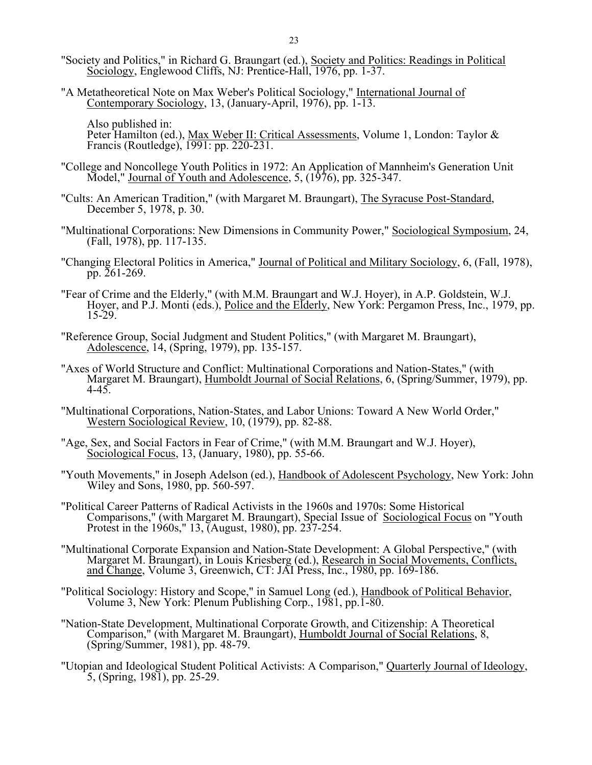- "Society and Politics," in Richard G. Braungart (ed.), Society and Politics: Readings in Political Sociology, Englewood Cliffs, NJ: Prentice-Hall, 1976, pp. 1-37.
	- "A Metatheoretical Note on Max Weber's Political Sociology," International Journal of Contemporary Sociology, 13, (January-April, 1976), pp. 1-13.

Also published in: Peter Hamilton (ed.), Max Weber II: Critical Assessments, Volume 1, London: Taylor & Francis (Routledge), 1991: pp. 220-231.

- "College and Noncollege Youth Politics in 1972: An Application of Mannheim's Generation Unit Model," Journal of Youth and Adolescence, 5, (1976), pp. 325-347.
- "Cults: An American Tradition," (with Margaret M. Braungart), The Syracuse Post-Standard, December 5, 1978, p. 30.
- "Multinational Corporations: New Dimensions in Community Power," Sociological Symposium, 24, (Fall, 1978), pp. 117-135.
- "Changing Electoral Politics in America," Journal of Political and Military Sociology, 6, (Fall, 1978), pp. 261-269.
- "Fear of Crime and the Elderly," (with M.M. Braungart and W.J. Hoyer), in A.P. Goldstein, W.J. Hoyer, and P.J. Monti (eds.), Police and the Elderly, New York: Pergamon Press, Inc., 1979, pp.  $15 - 29.$
- "Reference Group, Social Judgment and Student Politics," (with Margaret M. Braungart), Adolescence, 14, (Spring, 1979), pp. 135-157.
- "Axes of World Structure and Conflict: Multinational Corporations and Nation-States," (with Margaret M. Braungart), Humboldt Journal of Social Relations, 6, (Spring/Summer, 1979), pp.  $4 - 45.$
- "Multinational Corporations, Nation-States, and Labor Unions: Toward A New World Order," Western Sociological Review, 10, (1979), pp. 82-88.
- "Age, Sex, and Social Factors in Fear of Crime," (with M.M. Braungart and W.J. Hoyer), Sociological Focus, 13, (January, 1980), pp. 55-66.
- "Youth Movements," in Joseph Adelson (ed.), Handbook of Adolescent Psychology, New York: John Wiley and Sons, 1980, pp. 560-597.
- "Political Career Patterns of Radical Activists in the 1960s and 1970s: Some Historical Comparisons," (with Margaret M. Braungart), Special Issue of Sociological Focus on "Youth Protest in the 1960s," 13, (August, 1980), pp. 237-254.
- "Multinational Corporate Expansion and Nation-State Development: A Global Perspective," (with Margaret M. Braungart), in Louis Kriesberg (ed.), Research in Social Movements, Conflicts, and Change, Volume 3, Greenwich, CT: JAI Press, Inc., 1980, pp. 169-186.
- "Political Sociology: History and Scope," in Samuel Long (ed.), Handbook of Political Behavior, Volume 3, New York: Plenum Publishing Corp., 1981, pp.1-80.
- "Nation-State Development, Multinational Corporate Growth, and Citizenship: A Theoretical Comparison," (with Margaret M. Braungart), Humboldt Journal of Social Relations, 8, (Spring/Summer, 1981), pp. 48-79.
- "Utopian and Ideological Student Political Activists: A Comparison," Quarterly Journal of Ideology, 5, (Spring, 1981), pp. 25-29.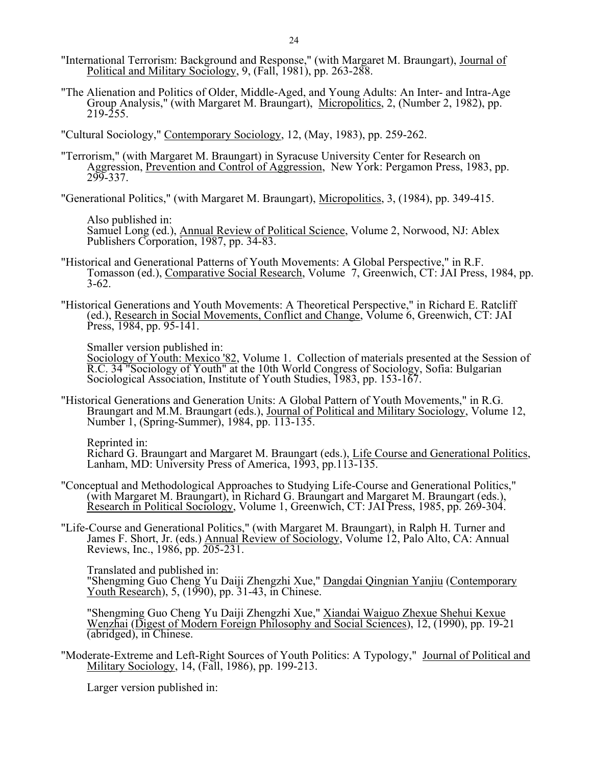- "International Terrorism: Background and Response," (with Margaret M. Braungart), Journal of Political and Military Sociology, 9, (Fall, 1981), pp. 263-288.
- "The Alienation and Politics of Older, Middle-Aged, and Young Adults: An Inter- and Intra-Age Group Analysis," (with Margaret M. Braungart), Micropolitics, 2, (Number 2, 1982), pp. 219-255.

"Cultural Sociology," Contemporary Sociology, 12, (May, 1983), pp. 259-262.

 "Terrorism," (with Margaret M. Braungart) in Syracuse University Center for Research on Aggression, Prevention and Control of Aggression, New York: Pergamon Press, 1983, pp. 299-337.

"Generational Politics," (with Margaret M. Braungart), Micropolitics, 3, (1984), pp. 349-415.

 Also published in: Samuel Long (ed.), Annual Review of Political Science, Volume 2, Norwood, NJ: Ablex Publishers Corporation, 1987, pp. 34-83.

- "Historical and Generational Patterns of Youth Movements: A Global Perspective," in R.F. Tomasson (ed.), Comparative Social Research, Volume 7, Greenwich, CT: JAI Press, 1984, pp. 3-62.
- "Historical Generations and Youth Movements: A Theoretical Perspective," in Richard E. Ratcliff (ed.), Research in Social Movements, Conflict and Change, Volume 6, Greenwich, CT: JAI Press, 1984, pp. 95-141.

Smaller version published in:

 Sociology of Youth: Mexico '82, Volume 1. Collection of materials presented at the Session of R.C. 34 "Sociology of Youth" at the 10th World Congress of Sociology, Sofia: Bulgarian Sociological Association, Institute of Youth Studies, 1983, pp. 153-167.

 "Historical Generations and Generation Units: A Global Pattern of Youth Movements," in R.G. Braungart and M.M. Braungart (eds.), Journal of Political and Military Sociology, Volume 12, Number 1, (Spring-Summer), 1984, pp. 113-135.

Reprinted in:

 Richard G. Braungart and Margaret M. Braungart (eds.), Life Course and Generational Politics, Lanham, MD: University Press of America, 1993, pp.113-135.

- "Conceptual and Methodological Approaches to Studying Life-Course and Generational Politics," (with Margaret M. Braungart), in Richard G. Braungart and Margaret M. Braungart (eds.), Research in Political Sociology, Volume 1, Greenwich, CT: JAI Press, 1985, pp. 269-304.
- "Life-Course and Generational Politics," (with Margaret M. Braungart), in Ralph H. Turner and James F. Short, Jr. (eds.) Annual Review of Sociology, Volume 12, Palo Alto, CA: Annual Reviews, Inc., 1986, pp. 205-231.

 Translated and published in: "Shengming Guo Cheng Yu Daiji Zhengzhi Xue," Dangdai Qingnian Yanjiu (Contemporary Youth Research), 5, (1990), pp. 31-43, in Chinese.

 "Shengming Guo Cheng Yu Daiji Zhengzhi Xue," Xiandai Waiguo Zhexue Shehui Kexue Wenzhai (Digest of Modern Foreign Philosophy and Social Sciences), 12, (1990), pp. 19-21 (abridged), in Chinese.

 "Moderate-Extreme and Left-Right Sources of Youth Politics: A Typology," Journal of Political and Military Sociology, 14, (Fall, 1986), pp. 199-213.

Larger version published in: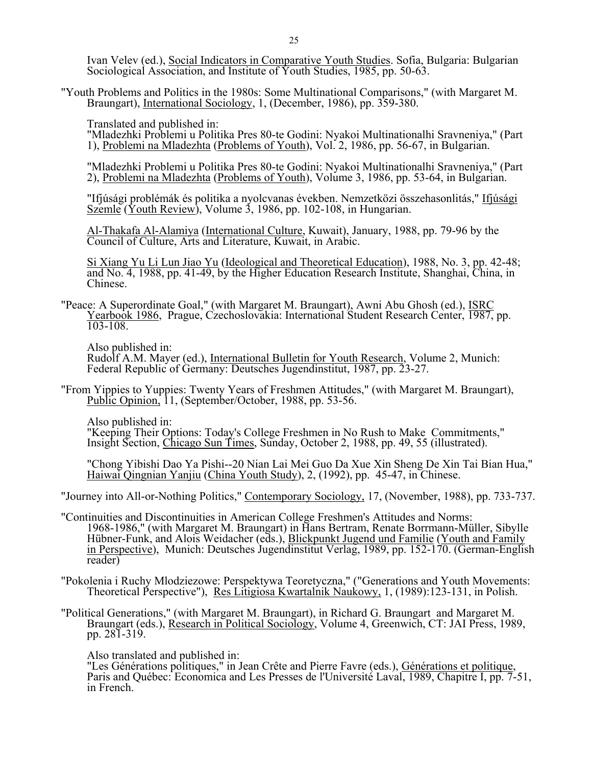Ivan Velev (ed.), Social Indicators in Comparative Youth Studies. Sofia, Bulgaria: Bulgarian Sociological Association, and Institute of Youth Studies, 1985, pp. 50-63.

 "Youth Problems and Politics in the 1980s: Some Multinational Comparisons," (with Margaret M. Braungart), International Sociology, 1, (December, 1986), pp. 359-380.

Translated and published in:

 "Mladezhki Problemi u Politika Pres 80-te Godini: Nyakoi Multinationalhi Sravneniya," (Part 1), Problemi na Mladezhta (Problems of Youth), Vol. 2, 1986, pp. 56-67, in Bulgarian.

"Mladezhki Problemi u Politika Pres 80-te Godini: Nyakoi Multinationalhi Sravneniya," (Part 2), Problemi na Mladezhta (Problems of Youth), Volume 3, 1986, pp. 53-64, in Bulgarian.

"Ifjúsági problémák és politika a nyolcvanas években. Nemzetközi összehasonlitás," Ifjúsági Szemle (Youth Review), Volume 3, 1986, pp. 102-108, in Hungarian.

 Al-Thakafa Al-Alamiya (International Culture, Kuwait), January, 1988, pp. 79-96 by the Council of Culture, Arts and Literature, Kuwait, in Arabic.

 Si Xiang Yu Li Lun Jiao Yu (Ideological and Theoretical Education), 1988, No. 3, pp. 42-48; and No. 4, 1988, pp. 41-49, by the Higher Education Research Institute, Shanghai, China, in Chinese.

 "Peace: A Superordinate Goal," (with Margaret M. Braungart), Awni Abu Ghosh (ed.), ISRC Yearbook 1986, Prague, Czechoslovakia: International Student Research Center, 1987, pp. 103-108.

 Also published in: Rudolf A.M. Mayer (ed.), International Bulletin for Youth Research, Volume 2, Munich: Federal Republic of Germany: Deutsches Jugendinstitut, 1987, pp. 23-27.

 "From Yippies to Yuppies: Twenty Years of Freshmen Attitudes," (with Margaret M. Braungart), Public Opinion, 11, (September/October, 1988, pp. 53-56.

Also published in:

 "Keeping Their Options: Today's College Freshmen in No Rush to Make Commitments," Insight Section, Chicago Sun Times, Sunday, October 2, 1988, pp. 49, 55 (illustrated).

 "Chong Yibishi Dao Ya Pishi--20 Nian Lai Mei Guo Da Xue Xin Sheng De Xin Tai Bian Hua," Haiwai Qingnian Yanjiu (China Youth Study), 2, (1992), pp. 45-47, in Chinese.

"Journey into All-or-Nothing Politics," Contemporary Sociology, 17, (November, 1988), pp. 733-737.

 "Continuities and Discontinuities in American College Freshmen's Attitudes and Norms: 1968-1986," (with Margaret M. Braungart) in Hans Bertram, Renate Borrmann-Müller, Sibylle Hübner-Funk, and Alois Weidacher (eds.), Blickpunkt Jugend und Familie (Youth and Family in Perspective), Munich: Deutsches Jugendinstitut Verlag, 1989, pp. 152-170. (German-English reader)

 "Pokolenia i Ruchy Mlodziezowe: Perspektywa Teoretyczna," ("Generations and Youth Movements: Theoretical Perspective"), Res Litigiosa Kwartalnik Naukowy, 1, (1989):123-131, in Polish.

 "Political Generations," (with Margaret M. Braungart), in Richard G. Braungart and Margaret M. Braungart (eds.), Research in Political Sociology, Volume 4, Greenwich, CT: JAI Press, 1989, pp. 281-319.

Also translated and published in:

 "Les Générations politiques," in Jean Crête and Pierre Favre (eds.), Générations et politique, Paris and Québec: Economica and Les Presses de l'Université Laval, 1989, Chapitre I, pp. 7-51, in French.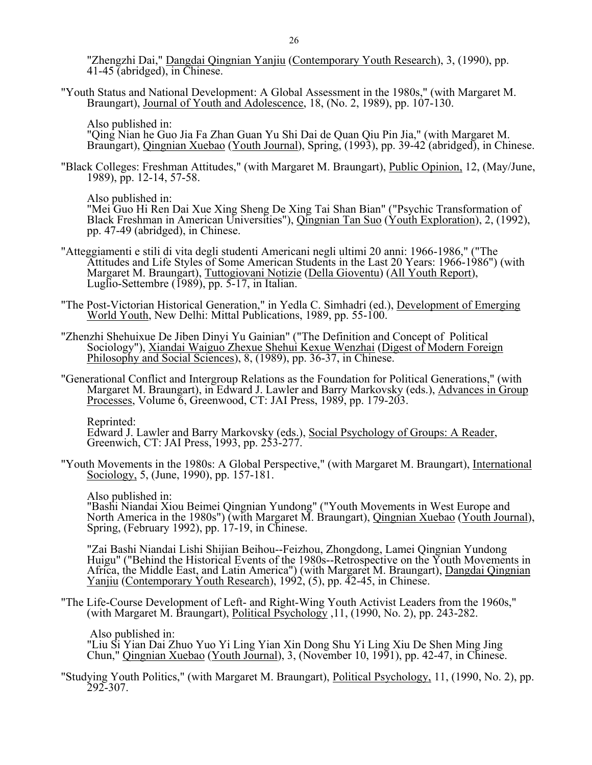"Zhengzhi Dai," Dangdai Qingnian Yanjiu (Contemporary Youth Research), 3, (1990), pp. 41-45 (abridged), in Chinese.

 "Youth Status and National Development: A Global Assessment in the 1980s," (with Margaret M. Braungart), Journal of Youth and Adolescence, 18, (No. 2, 1989), pp. 107-130.

Also published in:

 "Qing Nian he Guo Jia Fa Zhan Guan Yu Shi Dai de Quan Qiu Pin Jia," (with Margaret M. Braungart), Qingnian Xuebao (Youth Journal), Spring, (1993), pp. 39-42 (abridged), in Chinese.

 "Black Colleges: Freshman Attitudes," (with Margaret M. Braungart), Public Opinion, 12, (May/June, 1989), pp. 12-14, 57-58.

Also published in:

 "Mei Guo Hi Ren Dai Xue Xing Sheng De Xing Tai Shan Bian" ("Psychic Transformation of Black Freshman in American Universities"), *Qingnian Tan Suo* (Youth Exploration), 2, (1992), pp. 47-49 (abridged), in Chinese.

- "Atteggiamenti e stili di vita degli studenti Americani negli ultimi 20 anni: 1966-1986," ("The Attitudes and Life Styles of Some American Students in the Last 20 Years: 1966-1986") (with Margaret M. Braungart), Tuttogiovani Notizie (Della Gioventu) (All Youth Report), Luglio-Settembre (1989), pp. 5-17, in Italian.
- "The Post-Victorian Historical Generation," in Yedla C. Simhadri (ed.), Development of Emerging World Youth, New Delhi: Mittal Publications, 1989, pp. 55-100.
- "Zhenzhi Shehuixue De Jiben Dinyi Yu Gainian" ("The Definition and Concept of Political Sociology"), Xiandai Waiguo Zhexue Shehui Kexue Wenzhai (Digest of Modern Foreign Philosophy and Social Sciences), 8, (1989), pp. 36-37, in Chinese.
	- "Generational Conflict and Intergroup Relations as the Foundation for Political Generations," (with Margaret M. Braungart), in Edward J. Lawler and Barry Markovsky (eds.), Advances in Group Processes, Volume 6, Greenwood, CT: JAI Press, 1989, pp. 179-203.

Reprinted:

 Edward J. Lawler and Barry Markovsky (eds.), Social Psychology of Groups: A Reader, Greenwich, CT: JAI Press, 1993, pp. 253-277.

 "Youth Movements in the 1980s: A Global Perspective," (with Margaret M. Braungart), International Sociology, 5, (June, 1990), pp. 157-181.

Also published in:

 "Bashi Niandai Xiou Beimei Qingnian Yundong" ("Youth Movements in West Europe and North America in the 1980s") (with Margaret M. Braungart), *Qingnian Xuebao (Youth Journal)*, Spring, (February 1992), pp. 17-19, in Chinese.

 "Zai Bashi Niandai Lishi Shijian Beihou--Feizhou, Zhongdong, Lamei Qingnian Yundong Huigu" ("Behind the Historical Events of the 1980s--Retrospective on the Youth Movements in Africa, the Middle East, and Latin America") (with Margaret M. Braungart), Dangdai Qingnian Yanjiu (Contemporary Youth Research), 1992, (5), pp. 42-45, in Chinese.

 "The Life-Course Development of Left- and Right-Wing Youth Activist Leaders from the 1960s," (with Margaret M. Braungart), Political Psychology ,11, (1990, No. 2), pp. 243-282.

Also published in:

 "Liu Si Yian Dai Zhuo Yuo Yi Ling Yian Xin Dong Shu Yi Ling Xiu De Shen Ming Jing Chun," Qingnian Xuebao (Youth Journal), 3, (November 10, 1991), pp. 42-47, in Chinese.

 "Studying Youth Politics," (with Margaret M. Braungart), Political Psychology, 11, (1990, No. 2), pp.  $292 - 307$ .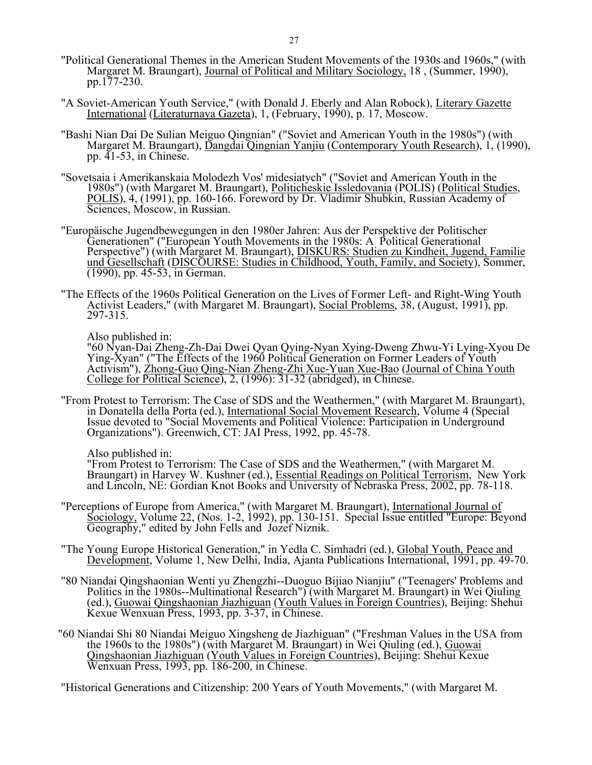- "Political Generational Themes in the American Student Movements of the 1930s and 1960s," (with Margaret M. Braungart), Journal of Political and Military Sociology, 18 , (Summer, 1990), pp.177-230.
- "A Soviet-American Youth Service," (with Donald J. Eberly and Alan Robock), Literary Gazette International (Literaturnaya Gazeta), 1, (February, 1990), p. 17, Moscow.
- "Bashi Nian Dai De Sulian Meiguo Qingnian" ("Soviet and American Youth in the 1980s") (with Margaret M. Braungart), Dangdai Qingnian Yanjiu (Contemporary Youth Research), 1, (1990), pp. 41-53, in Chinese.
- "Sovetsaia i Amerikanskaia Molodezh Vos' midesiatych" ("Soviet and American Youth in the 1980s") (with Margaret M. Braungart), Politicheskie Issledovania (POLIS) (Political Studies, POLIS), 4, (1991), pp. 160-166. Foreword by Dr. Vladimir Shubkin, Russian Academy of Sciences, Moscow, in Russian.
	- "Europäische Jugendbewegungen in den 1980er Jahren: Aus der Perspektive der Politischer Generationen" ("European Youth Movements in the 1980s: A Political Generational Perspective") (with Margaret M. Braungart), **DISKURS: Studien zu Kindheit, Jugend, Familie** und Gesellschaft (DISCOURSE: Studies in Childhood, Youth, Family, and Society), Sommer, (1990), pp. 45-53, in German.
	- "The Effects of the 1960s Political Generation on the Lives of Former Left- and Right-Wing Youth Activist Leaders," (with Margaret M. Braungart), Social Problems, 38, (August, 1991), pp. 297-315.

Also published in:

"60 Nyan-Dai Zheng-Zh-Dai Dwei Qyan Qying-Nyan Xying-Dweng Zhwu-Yi Lying-Xyou De Ying-Xyan" ("The Effects of the 1960 Political Generation on Former Leaders of Youth Activism"), Zhong-Guo Qing-Nian Zheng-Zhi Xue-Yuan Xue-Bao (Journal of China Youth College for Political Science), 2, (1996): 31-32 (abridged), in Chinese.

 "From Protest to Terrorism: The Case of SDS and the Weathermen," (with Margaret M. Braungart), in Donatella della Porta (ed.), International Social Movement Research, Volume 4 (Special Issue devoted to "Social Movements and Political Violence: Participation in Underground Organizations"). Greenwich, CT: JAI Press, 1992, pp. 45-78.

Also published in:

"From Protest to Terrorism: The Case of SDS and the Weathermen," (with Margaret M. Braungart) in Harvey W. Kushner (ed.), **Essential Readings on Political Terrorism**, New York and Lincoln, NE: Gordian Knot Books and University of Nebraska Press, 2002, pp. 78-118.

- "Perceptions of Europe from America," (with Margaret M. Braungart), International Journal of Sociology, Volume 22, (Nos. 1-2, 1992), pp. 130-151. Special Issue entitled "Europe: Beyond Geography," edited by John Fells and Jozef Niznik.
	- "The Young Europe Historical Generation," in Yedla C. Simhadri (ed.), Global Youth, Peace and Development, Volume 1, New Delhi, India, Ajanta Publications International, 1991, pp. 49-70.
- "80 Niandai Qingshaonian Wenti yu Zhengzhi--Duoguo Bijiao Nianjiu" ("Teenagers' Problems and Politics in the 1980s--Multinational Research") (with Margaret M. Braungart) in Wei Qiuling (ed.), Guowai Qingshaonian Jiazhiguan (Youth Values in Foreign Countries), Beijing: Shehui Kexue Wenxuan Press, 1993, pp. 3-37, in Chinese.
- "60 Niandai Shi 80 Niandai Meiguo Xingsheng de Jiazhiguan" ("Freshman Values in the USA from the 1960s to the 1980s") (with Margaret M. Braungart) in Wei Qiuling (ed.), Guowai Qingshaonian Jiazhiguan (Youth Values in Foreign Countries), Beijing: Shehui Kexue Wenxuan Press, 1993, pp. 186-200, in Chinese.

"Historical Generations and Citizenship: 200 Years of Youth Movements," (with Margaret M.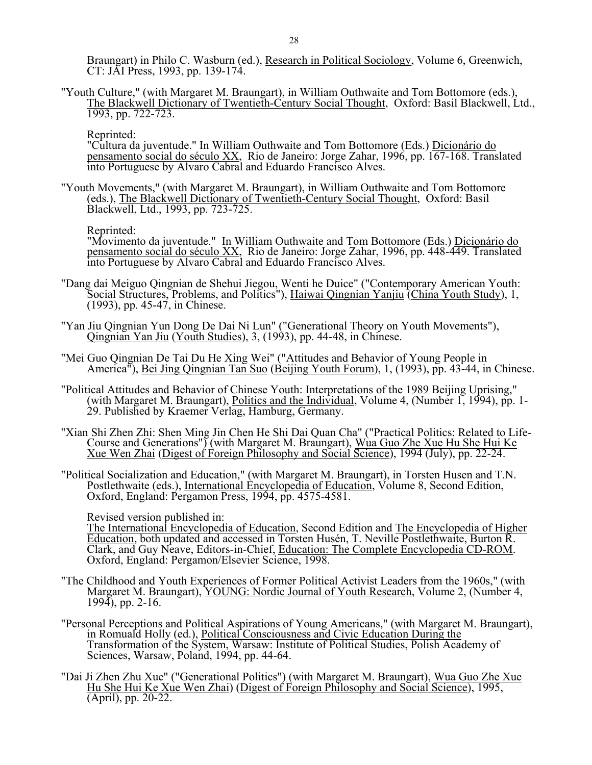Braungart) in Philo C. Wasburn (ed.), Research in Political Sociology, Volume 6, Greenwich, CT: JAI Press, 1993, pp. 139-174.

 "Youth Culture," (with Margaret M. Braungart), in William Outhwaite and Tom Bottomore (eds.), The Blackwell Dictionary of Twentieth-Century Social Thought, Oxford: Basil Blackwell, Ltd., 1993, pp. 722-723.

Reprinted:

 "Cultura da juventude." In William Outhwaite and Tom Bottomore (Eds.) Dicionário do pensamento social do século XX, Rio de Janeiro: Jorge Zahar, 1996, pp. 167-168. Translated into Portuguese by Alvaro Cabral and Eduardo Francisco Alves.

 "Youth Movements," (with Margaret M. Braungart), in William Outhwaite and Tom Bottomore (eds.), The Blackwell Dictionary of Twentieth-Century Social Thought, Oxford: Basil Blackwell, Ltd., 1993, pp. 723-725.

Reprinted:

"Movimento da juventude." In William Outhwaite and Tom Bottomore (Eds.) Dicionário do pensamento social do século XX, Rio de Janeiro: Jorge Zahar, 1996, pp. 448-449. Translated into Portuguese by Alvaro Cabral and Eduardo Francisco Alves.

- "Dang dai Meiguo Qingnian de Shehui Jiegou, Wenti he Duice" ("Contemporary American Youth: Social Structures, Problems, and Politics"), Haiwai Qingnian Yanjiu (China Youth Study), 1, (1993), pp. 45-47, in Chinese.
- "Yan Jiu Qingnian Yun Dong De Dai Ni Lun" ("Generational Theory on Youth Movements"), Qingnian Yan Jiu (Youth Studies), 3, (1993), pp. 44-48, in Chinese.
	- "Mei Guo Qingnian De Tai Du He Xing Wei" ("Attitudes and Behavior of Young People in America"), Bei Jing Qingnian Tan Suo (Beijing Youth Forum), 1, (1993), pp. 43-44, in Chinese.
	- "Political Attitudes and Behavior of Chinese Youth: Interpretations of the 1989 Beijing Uprising," (with Margaret M. Braungart), Politics and the Individual, Volume 4, (Number 1, 1994), pp. 1-29. Published by Kraemer Verlag, Hamburg, Germany.
- "Xian Shi Zhen Zhi: Shen Ming Jin Chen He Shi Dai Quan Cha" ("Practical Politics: Related to Life-Course and Generations") (with Margaret M. Braungart), Wua Guo Zhe Xue Hu She Hui Ke Xue Wen Zhai (Digest of Foreign Philosophy and Social Science), 1994 (July), pp. 22-24.
	- "Political Socialization and Education," (with Margaret M. Braungart), in Torsten Husen and T.N. Postlethwaite (eds.), International Encyclopedia of Education, Volume 8, Second Edition, Oxford, England: Pergamon Press, 1994, pp. 4575-4581.

Revised version published in:

The International Encyclopedia of Education, Second Edition and The Encyclopedia of Higher Education, both updated and accessed in Torsten Husén, T. Neville Postlethwaite, Burton R. Clark, and Guy Neave, Editors-in-Chief, Education: The Complete Encyclopedia CD-ROM. Oxford, England: Pergamon/Elsevier Science, 1998.

- "The Childhood and Youth Experiences of Former Political Activist Leaders from the 1960s," (with Margaret M. Braungart), YOUNG: Nordic Journal of Youth Research, Volume 2, (Number 4, 1994), pp. 2-16.
- "Personal Perceptions and Political Aspirations of Young Americans," (with Margaret M. Braungart), in Romuald Holly (ed.), Political Consciousness and Civic Education During the Transformation of the System, Warsaw: Institute of Political Studies, Polish Academy of Sciences, Warsaw, Poland, 1994, pp. 44-64.
- "Dai Ji Zhen Zhu Xue" ("Generational Politics") (with Margaret M. Braungart), Wua Guo Zhe Xue Hu She Hui Ke Xue Wen Zhai) (Digest of Foreign Philosophy and Social Science), 1995, (April), pp. 20-22.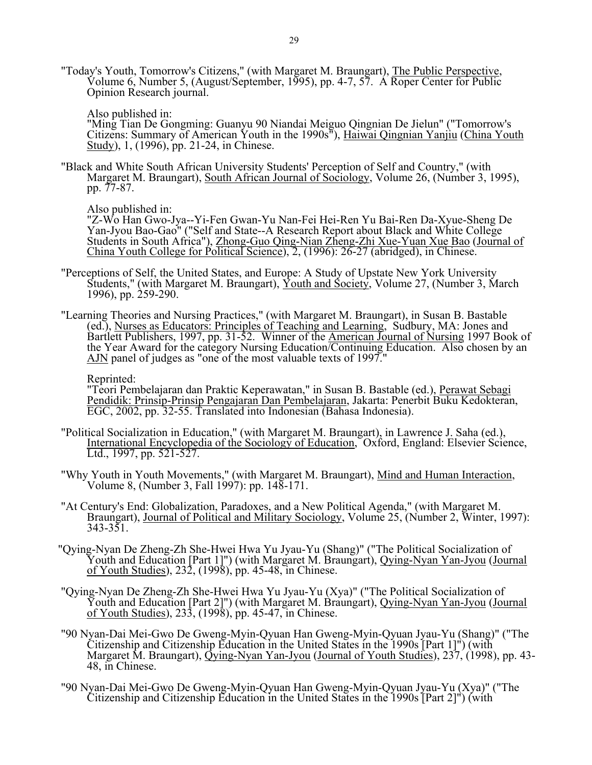"Today's Youth, Tomorrow's Citizens," (with Margaret M. Braungart), The Public Perspective, Volume 6, Number 5, (August/September, 1995), pp. 4-7, 57. A Roper Center for Public Opinion Research journal.

Also published in:

"Ming Tian De Gongming: Guanyu 90 Niandai Meiguo Qingnian De Jielun" ("Tomorrow's Citizens: Summary of American Youth in the 1990s<sup>n</sup>), Haiwai Qingnian Yanjiu (China Youth Study), 1, (1996), pp. 21-24, in Chinese.

 "Black and White South African University Students' Perception of Self and Country," (with Margaret M. Braungart), South African Journal of Sociology, Volume 26, (Number 3, 1995), pp. 77-87.

Also published in:

"Z-Wo Han Gwo-Jya--Yi-Fen Gwan-Yu Nan-Fei Hei-Ren Yu Bai-Ren Da-Xyue-Sheng De Yan-Jyou Bao-Gao" ("Self and State--A Research Report about Black and White College Students in South Africa"), Zhong-Guo Qing-Nian Zheng-Zhi Xue-Yuan Xue Bao (Journal of China Youth College for Political Science), 2, (1996): 26-27 (abridged), in Chinese.

- "Perceptions of Self, the United States, and Europe: A Study of Upstate New York University Students," (with Margaret M. Braungart), Youth and Society, Volume 27, (Number 3, March 1996), pp. 259-290.
- "Learning Theories and Nursing Practices," (with Margaret M. Braungart), in Susan B. Bastable (ed.), Nurses as Educators: Principles of Teaching and Learning, Sudbury, MA: Jones and Bartlett Publishers, 1997, pp. 31-52. Winner of the American Journal of Nursing 1997 Book of the Year Award for the category Nursing Education/Continuing Education. Also chosen by an AJN panel of judges as "one of the most valuable texts of 1997."

Reprinted:

"Teori Pembelajaran dan Praktic Keperawatan," in Susan B. Bastable (ed.), Perawat Sebagi Pendidik: Prinsip-Prinsip Pengajaran Dan Pembelajaran, Jakarta: Penerbit Buku Kedokteran, EGC, 2002, pp. 32-55. Translated into Indonesian (Bahasa Indonesia).

- "Political Socialization in Education," (with Margaret M. Braungart), in Lawrence J. Saha (ed.), International Encyclopedia of the Sociology of Education, Oxford, England: Elsevier Science, Ltd., 1997, pp. 521-527.
- "Why Youth in Youth Movements," (with Margaret M. Braungart), Mind and Human Interaction, Volume 8, (Number 3, Fall 1997): pp. 148-171.
	- "At Century's End: Globalization, Paradoxes, and a New Political Agenda," (with Margaret M. Braungart), Journal of Political and Military Sociology, Volume 25, (Number 2, Winter, 1997): 343-351.
- "Qying-Nyan De Zheng-Zh She-Hwei Hwa Yu Jyau-Yu (Shang)" ("The Political Socialization of Youth and Education [Part 1]") (with Margaret M. Braungart), *Qying-Nyan Yan-Jyou (Journal* of Youth Studies), 232, (1998), pp. 45-48, in Chinese.
- "Qying-Nyan De Zheng-Zh She-Hwei Hwa Yu Jyau-Yu (Xya)" ("The Political Socialization of Youth and Education [Part 2]") (with Margaret M. Braungart), *Qying-Nyan Yan-Jyou (Journal* of Youth Studies), 233, (1998), pp. 45-47, in Chinese.
- "90 Nyan-Dai Mei-Gwo De Gweng-Myin-Qyuan Han Gweng-Myin-Qyuan Jyau-Yu (Shang)" ("The Citizenship and Citizenship Education in the United States in the 1990s [Part 1]") (with Margaret M. Braungart), Qying-Nyan Yan-Jyou (Journal of Youth Studies), 237, (1998), pp. 43- 48, in Chinese.
	- "90 Nyan-Dai Mei-Gwo De Gweng-Myin-Qyuan Han Gweng-Myin-Qyuan Jyau-Yu (Xya)" ("The Citizenship and Citizenship Education in the United States in the 1990s [Part 2]") (with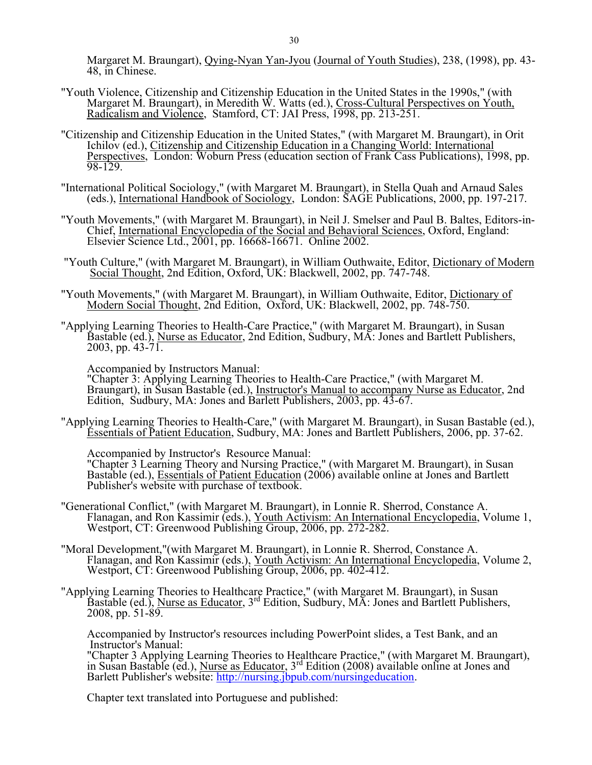Margaret M. Braungart), Qying-Nyan Yan-Jyou (Journal of Youth Studies), 238, (1998), pp. 43- 48, in Chinese.

- "Youth Violence, Citizenship and Citizenship Education in the United States in the 1990s," (with Margaret M. Braungart), in Meredith W. Watts (ed.), Cross-Cultural Perspectives on Youth, Radicalism and Violence, Stamford, CT: JAI Press, 1998, pp. 213-251.
	- "Citizenship and Citizenship Education in the United States," (with Margaret M. Braungart), in Orit Ichilov (ed.), Citizenship and Citizenship Education in a Changing World: International Perspectives, London: Woburn Press (education section of Frank Cass Publications), 1998, pp. 98-129.
- "International Political Sociology," (with Margaret M. Braungart), in Stella Quah and Arnaud Sales (eds.), International Handbook of Sociology, London: SAGE Publications, 2000, pp. 197-217.
	- "Youth Movements," (with Margaret M. Braungart), in Neil J. Smelser and Paul B. Baltes, Editors-in-Chief, International Encyclopedia of the Social and Behavioral Sciences, Oxford, England: Elsevier Science Ltd., 2001, pp. 16668-16671. Online 2002.
	- "Youth Culture," (with Margaret M. Braungart), in William Outhwaite, Editor, Dictionary of Modern Social Thought, 2nd Edition, Oxford, UK: Blackwell, 2002, pp. 747-748.
	- "Youth Movements," (with Margaret M. Braungart), in William Outhwaite, Editor, Dictionary of Modern Social Thought, 2nd Edition, Oxford, UK: Blackwell, 2002, pp. 748-750.
	- "Applying Learning Theories to Health-Care Practice," (with Margaret M. Braungart), in Susan Bastable (ed.), Nurse as Educator, 2nd Edition, Sudbury, MA: Jones and Bartlett Publishers, 2003, pp.  $43-71$ .

Accompanied by Instructors Manual:

"Chapter 3: Applying Learning Theories to Health-Care Practice," (with Margaret M. Braungart), in Susan Bastable (ed.), Instructor's Manual to accompany Nurse as Educator, 2nd Edition, Sudbury, MA: Jones and Barlett Publishers, 2003, pp. 43-67.

 "Applying Learning Theories to Health-Care," (with Margaret M. Braungart), in Susan Bastable (ed.), Essentials of Patient Education, Sudbury, MA: Jones and Bartlett Publishers, 2006, pp. 37-62.

Accompanied by Instructor's Resource Manual: "Chapter 3 Learning Theory and Nursing Practice," (with Margaret M. Braungart), in Susan Bastable (ed.), Essentials of Patient Education (2006) available online at Jones and Bartlett Publisher's website with purchase of textbook.

- "Generational Conflict," (with Margaret M. Braungart), in Lonnie R. Sherrod, Constance A. Flanagan, and Ron Kassimir (eds.), Youth Activism: An International Encyclopedia, Volume 1, Westport, CT: Greenwood Publishing Group, 2006, pp. 272-282.
- "Moral Development,"(with Margaret M. Braungart), in Lonnie R. Sherrod, Constance A. Flanagan, and Ron Kassimir (eds.), Youth Activism: An International Encyclopedia, Volume 2, Westport, CT: Greenwood Publishing Group, 2006, pp. 402-412.
- "Applying Learning Theories to Healthcare Practice," (with Margaret M. Braungart), in Susan Bastable (ed.), Nurse as Educator, 3<sup>rd</sup> Edition, Sudbury, MA: Jones and Bartlett Publishers, 2008, pp. 51-89.

Accompanied by Instructor's resources including PowerPoint slides, a Test Bank, and an Instructor's Manual:

"Chapter 3 Applying Learning Theories to Healthcare Practice," (with Margaret M. Braungart), in Susan Bastable (ed.), Nurse as Educator, 3rd Edition (2008) available online at Jones and Barlett Publisher's website: [http://nursing.jbpub.com/nursingeducation.](http://nursing.jbpub.com/nursingeducation)

Chapter text translated into Portuguese and published: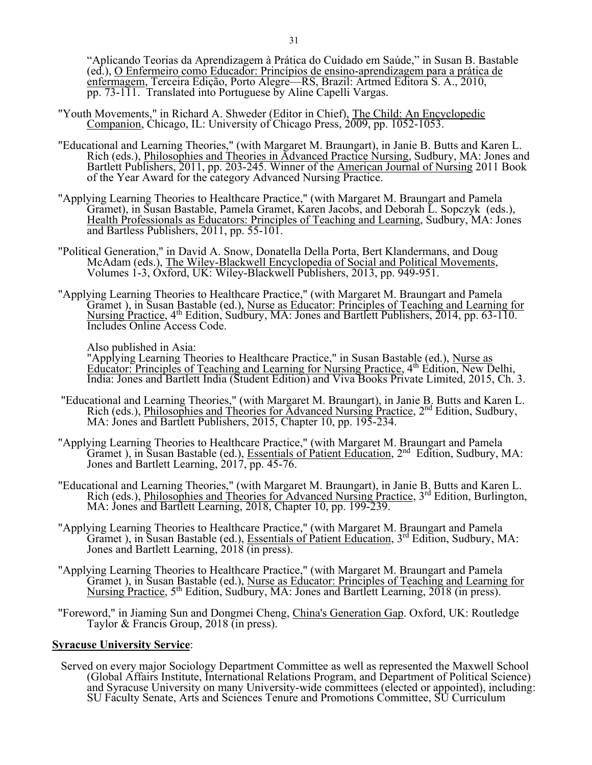"Aplicando Teorias da Aprendizagem à Prática do Cuidado em Saúde," in Susan B. Bastable (ed.), O Enfermeiro como Educador: Princípios de ensino-aprendizagem para a prática de enfermagem, Terceira Edição, Porto Alegre—RS, Brazil: Artmed Editora S. A., 2010, pp. 73-111. Translated into Portuguese by Aline Capelli Vargas.

- "Youth Movements," in Richard A. Shweder (Editor in Chief), The Child: An Encyclopedic Companion, Chicago, IL: University of Chicago Press, 2009, pp. 1052-1053.
- "Educational and Learning Theories," (with Margaret M. Braungart), in Janie B. Butts and Karen L. Rich (eds.), Philosophies and Theories in Advanced Practice Nursing, Sudbury, MA: Jones and Bartlett Publishers, 2011, pp. 203-245. Winner of the American Journal of Nursing 2011 Book of the Year Award for the category Advanced Nursing Practice.
- "Applying Learning Theories to Healthcare Practice," (with Margaret M. Braungart and Pamela Gramet), in Susan Bastable, Pamela Gramet, Karen Jacobs, and Deborah L. Sopczyk (eds.), Health Professionals as Educators: Principles of Teaching and Learning, Sudbury, MA: Jones and Bartless Publishers, 2011, pp. 55-101.
- "Political Generation," in David A. Snow, Donatella Della Porta, Bert Klandermans, and Doug McAdam (eds.), The Wiley-Blackwell Encyclopedia of Social and Political Movements, Volumes 1-3, Oxford, UK: Wiley-Blackwell Publishers, 2013, pp. 949-951.
- "Applying Learning Theories to Healthcare Practice," (with Margaret M. Braungart and Pamela Gramet), in Susan Bastable (ed.), Nurse as Educator: Principles of Teaching and Learning for Nursing Practice, 4<sup>th</sup> Edition, Sudbury, MA: Jones and Bartlett Publishers, 2014, pp. 63-110. Includes Online Access Code.

Also published in Asia:

"Applying Learning Theories to Healthcare Practice," in Susan Bastable (ed.), Nurse as Educator: Principles of Teaching and Learning for Nursing Practice, 4<sup>th</sup> Edition, New Delhi, India: Jones and Bartlett India (Student Edition) and Viva Books Private Limited, 2015, Ch. 3.

- "Educational and Learning Theories," (with Margaret M. Braungart), in Janie B. Butts and Karen L. Rich (eds.), Philosophies and Theories for Advanced Nursing Practice, 2<sup>nd</sup> Edition, Sudbury, MA: Jones and Bartlett Publishers, 2015, Chapter 10, pp. 195-234.
- "Applying Learning Theories to Healthcare Practice," (with Margaret M. Braungart and Pamela Gramet), in Susan Bastable (ed.), *Essentials of Patient Education*,  $2<sup>nd</sup>$  Edition, Sudbury, MA: Jones and Bartlett Learning, 2017, pp. 45-76.
- "Educational and Learning Theories," (with Margaret M. Braungart), in Janie B. Butts and Karen L. Rich (eds.), Philosophies and Theories for Advanced Nursing Practice, 3<sup>rd</sup> Edition, Burlington, MA: Jones and Bartlett Learning, 2018, Chapter 10, pp. 199-239.
- "Applying Learning Theories to Healthcare Practice," (with Margaret M. Braungart and Pamela Gramet ), in Susan Bastable (ed.), Essentials of Patient Education, 3<sup>rd</sup> Edition, Sudbury, MA: Jones and Bartlett Learning, 2018 (in press).
- "Applying Learning Theories to Healthcare Practice," (with Margaret M. Braungart and Pamela Gramet), in Susan Bastable (ed.), Nurse as Educator: Principles of Teaching and Learning for Nursing Practice, 5<sup>th</sup> Edition, Sudbury, MA: Jones and Bartlett Learning, 2018 (in press).
- "Foreword," in Jiaming Sun and Dongmei Cheng, China's Generation Gap. Oxford, UK: Routledge Taylor & Francis Group, 2018 (in press).

## **Syracuse University Service**:

 Served on every major Sociology Department Committee as well as represented the Maxwell School (Global Affairs Institute, International Relations Program, and Department of Political Science) and Syracuse University on many University-wide committees (elected or appointed), including: SU Faculty Senate, Arts and Sciences Tenure and Promotions Committee, SU Curriculum